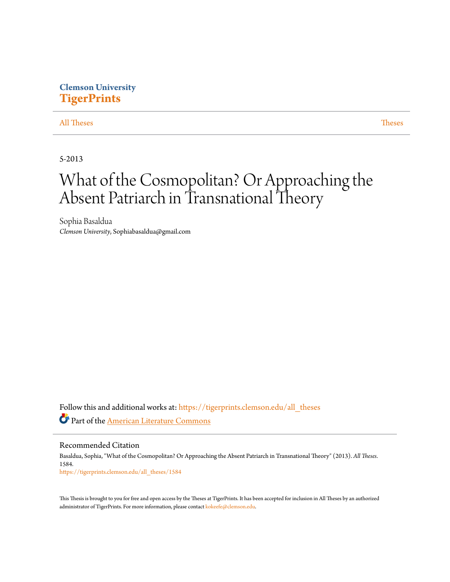## **Clemson University [TigerPrints](https://tigerprints.clemson.edu?utm_source=tigerprints.clemson.edu%2Fall_theses%2F1584&utm_medium=PDF&utm_campaign=PDFCoverPages)**

#### [All Theses](https://tigerprints.clemson.edu/all_theses?utm_source=tigerprints.clemson.edu%2Fall_theses%2F1584&utm_medium=PDF&utm_campaign=PDFCoverPages) **[Theses](https://tigerprints.clemson.edu/theses?utm_source=tigerprints.clemson.edu%2Fall_theses%2F1584&utm_medium=PDF&utm_campaign=PDFCoverPages)**

5-2013

# What of the Cosmopolitan? Or Approaching the Absent Patriarch in Transnational Theory

Sophia Basaldua *Clemson University*, Sophiabasaldua@gmail.com

Follow this and additional works at: [https://tigerprints.clemson.edu/all\\_theses](https://tigerprints.clemson.edu/all_theses?utm_source=tigerprints.clemson.edu%2Fall_theses%2F1584&utm_medium=PDF&utm_campaign=PDFCoverPages) Part of the [American Literature Commons](http://network.bepress.com/hgg/discipline/441?utm_source=tigerprints.clemson.edu%2Fall_theses%2F1584&utm_medium=PDF&utm_campaign=PDFCoverPages)

Recommended Citation Basaldua, Sophia, "What of the Cosmopolitan? Or Approaching the Absent Patriarch in Transnational Theory" (2013). *All Theses*. 1584. [https://tigerprints.clemson.edu/all\\_theses/1584](https://tigerprints.clemson.edu/all_theses/1584?utm_source=tigerprints.clemson.edu%2Fall_theses%2F1584&utm_medium=PDF&utm_campaign=PDFCoverPages)

This Thesis is brought to you for free and open access by the Theses at TigerPrints. It has been accepted for inclusion in All Theses by an authorized administrator of TigerPrints. For more information, please contact [kokeefe@clemson.edu](mailto:kokeefe@clemson.edu).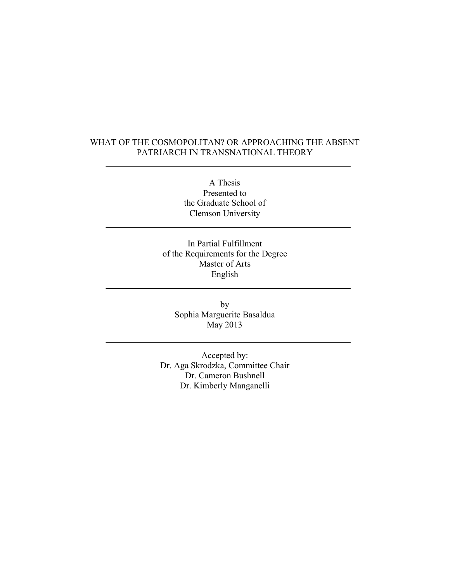### WHAT OF THE COSMOPOLITAN? OR APPROACHING THE ABSENT PATRIARCH IN TRANSNATIONAL THEORY

A Thesis Presented to the Graduate School of Clemson University

In Partial Fulfillment of the Requirements for the Degree Master of Arts English

by Sophia Marguerite Basaldua May 2013

Accepted by: Dr. Aga Skrodzka, Committee Chair Dr. Cameron Bushnell Dr. Kimberly Manganelli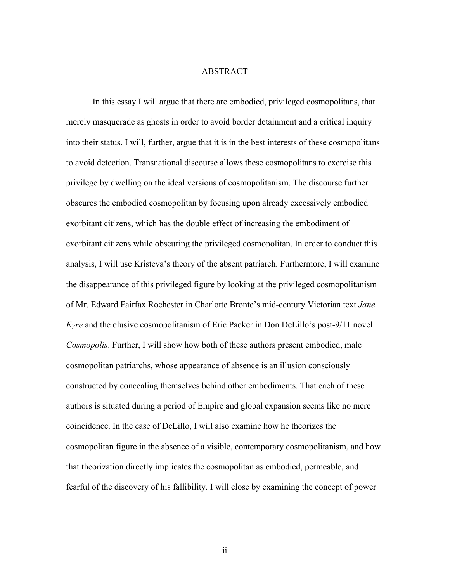#### ABSTRACT

In this essay I will argue that there are embodied, privileged cosmopolitans, that merely masquerade as ghosts in order to avoid border detainment and a critical inquiry into their status. I will, further, argue that it is in the best interests of these cosmopolitans to avoid detection. Transnational discourse allows these cosmopolitans to exercise this privilege by dwelling on the ideal versions of cosmopolitanism. The discourse further obscures the embodied cosmopolitan by focusing upon already excessively embodied exorbitant citizens, which has the double effect of increasing the embodiment of exorbitant citizens while obscuring the privileged cosmopolitan. In order to conduct this analysis, I will use Kristeva's theory of the absent patriarch. Furthermore, I will examine the disappearance of this privileged figure by looking at the privileged cosmopolitanism of Mr. Edward Fairfax Rochester in Charlotte Bronte's mid-century Victorian text *Jane Eyre* and the elusive cosmopolitanism of Eric Packer in Don DeLillo's post-9/11 novel *Cosmopolis*. Further, I will show how both of these authors present embodied, male cosmopolitan patriarchs, whose appearance of absence is an illusion consciously constructed by concealing themselves behind other embodiments. That each of these authors is situated during a period of Empire and global expansion seems like no mere coincidence. In the case of DeLillo, I will also examine how he theorizes the cosmopolitan figure in the absence of a visible, contemporary cosmopolitanism, and how that theorization directly implicates the cosmopolitan as embodied, permeable, and fearful of the discovery of his fallibility. I will close by examining the concept of power

ii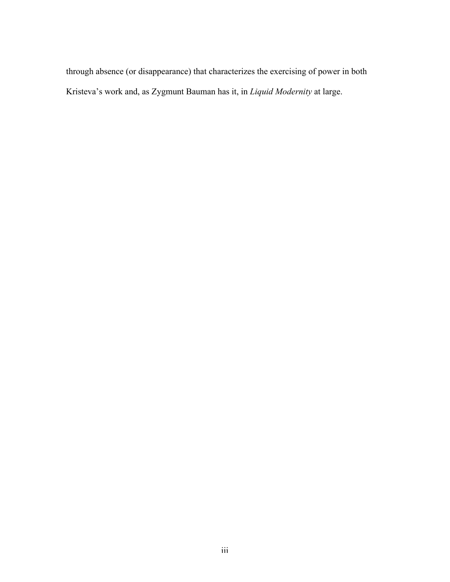through absence (or disappearance) that characterizes the exercising of power in both Kristeva's work and, as Zygmunt Bauman has it, in *Liquid Modernity* at large.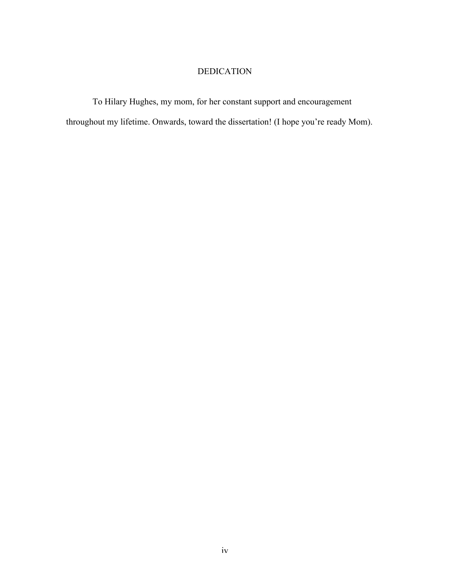## DEDICATION

To Hilary Hughes, my mom, for her constant support and encouragement throughout my lifetime. Onwards, toward the dissertation! (I hope you're ready Mom).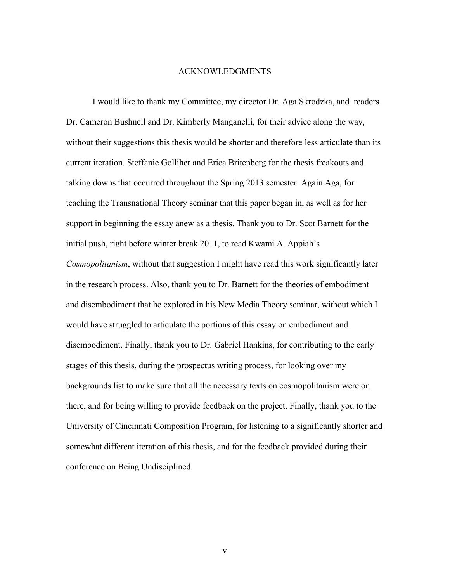#### ACKNOWLEDGMENTS

I would like to thank my Committee, my director Dr. Aga Skrodzka, and readers Dr. Cameron Bushnell and Dr. Kimberly Manganelli, for their advice along the way, without their suggestions this thesis would be shorter and therefore less articulate than its current iteration. Steffanie Golliher and Erica Britenberg for the thesis freakouts and talking downs that occurred throughout the Spring 2013 semester. Again Aga, for teaching the Transnational Theory seminar that this paper began in, as well as for her support in beginning the essay anew as a thesis. Thank you to Dr. Scot Barnett for the initial push, right before winter break 2011, to read Kwami A. Appiah's *Cosmopolitanism*, without that suggestion I might have read this work significantly later in the research process. Also, thank you to Dr. Barnett for the theories of embodiment and disembodiment that he explored in his New Media Theory seminar, without which I would have struggled to articulate the portions of this essay on embodiment and disembodiment. Finally, thank you to Dr. Gabriel Hankins, for contributing to the early stages of this thesis, during the prospectus writing process, for looking over my backgrounds list to make sure that all the necessary texts on cosmopolitanism were on there, and for being willing to provide feedback on the project. Finally, thank you to the University of Cincinnati Composition Program, for listening to a significantly shorter and somewhat different iteration of this thesis, and for the feedback provided during their conference on Being Undisciplined.

v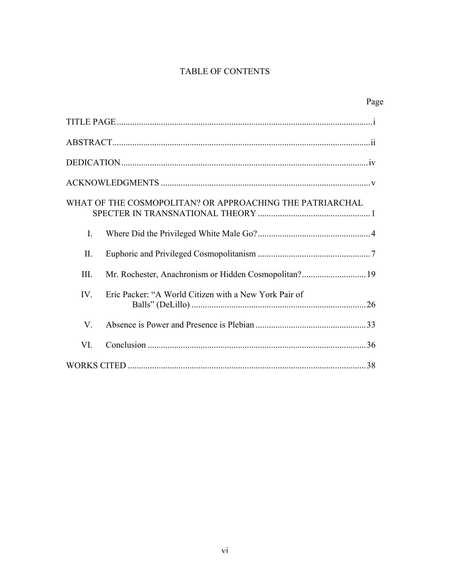## TABLE OF CONTENTS

|                                                          |                                                       | Page |
|----------------------------------------------------------|-------------------------------------------------------|------|
|                                                          |                                                       |      |
|                                                          |                                                       |      |
|                                                          |                                                       |      |
|                                                          |                                                       |      |
| WHAT OF THE COSMOPOLITAN? OR APPROACHING THE PATRIARCHAL |                                                       |      |
| $\mathbf{I}$ .                                           |                                                       |      |
| II.                                                      |                                                       |      |
| III.                                                     |                                                       |      |
| $IV_{i}$                                                 | Eric Packer: "A World Citizen with a New York Pair of |      |
| $V_{\cdot}$                                              |                                                       |      |
| VI.                                                      |                                                       |      |
|                                                          |                                                       |      |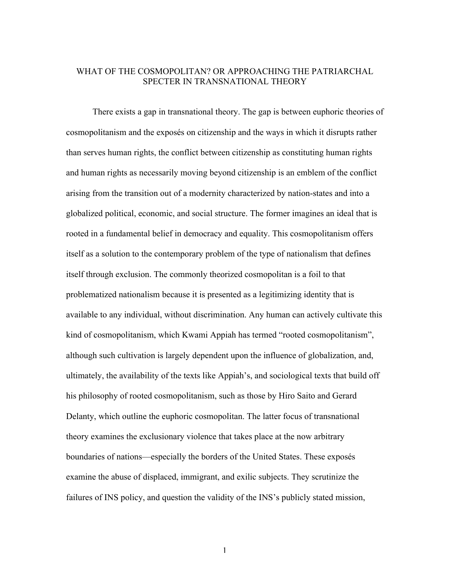#### WHAT OF THE COSMOPOLITAN? OR APPROACHING THE PATRIARCHAL SPECTER IN TRANSNATIONAL THEORY

There exists a gap in transnational theory. The gap is between euphoric theories of cosmopolitanism and the exposés on citizenship and the ways in which it disrupts rather than serves human rights, the conflict between citizenship as constituting human rights and human rights as necessarily moving beyond citizenship is an emblem of the conflict arising from the transition out of a modernity characterized by nation-states and into a globalized political, economic, and social structure. The former imagines an ideal that is rooted in a fundamental belief in democracy and equality. This cosmopolitanism offers itself as a solution to the contemporary problem of the type of nationalism that defines itself through exclusion. The commonly theorized cosmopolitan is a foil to that problematized nationalism because it is presented as a legitimizing identity that is available to any individual, without discrimination. Any human can actively cultivate this kind of cosmopolitanism, which Kwami Appiah has termed "rooted cosmopolitanism", although such cultivation is largely dependent upon the influence of globalization, and, ultimately, the availability of the texts like Appiah's, and sociological texts that build off his philosophy of rooted cosmopolitanism, such as those by Hiro Saito and Gerard Delanty, which outline the euphoric cosmopolitan. The latter focus of transnational theory examines the exclusionary violence that takes place at the now arbitrary boundaries of nations—especially the borders of the United States. These exposés examine the abuse of displaced, immigrant, and exilic subjects. They scrutinize the failures of INS policy, and question the validity of the INS's publicly stated mission,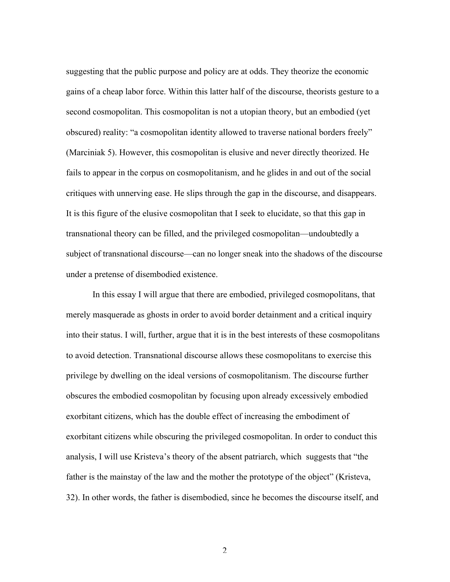suggesting that the public purpose and policy are at odds. They theorize the economic gains of a cheap labor force. Within this latter half of the discourse, theorists gesture to a second cosmopolitan. This cosmopolitan is not a utopian theory, but an embodied (yet obscured) reality: "a cosmopolitan identity allowed to traverse national borders freely" (Marciniak 5). However, this cosmopolitan is elusive and never directly theorized. He fails to appear in the corpus on cosmopolitanism, and he glides in and out of the social critiques with unnerving ease. He slips through the gap in the discourse, and disappears. It is this figure of the elusive cosmopolitan that I seek to elucidate, so that this gap in transnational theory can be filled, and the privileged cosmopolitan—undoubtedly a subject of transnational discourse—can no longer sneak into the shadows of the discourse under a pretense of disembodied existence.

In this essay I will argue that there are embodied, privileged cosmopolitans, that merely masquerade as ghosts in order to avoid border detainment and a critical inquiry into their status. I will, further, argue that it is in the best interests of these cosmopolitans to avoid detection. Transnational discourse allows these cosmopolitans to exercise this privilege by dwelling on the ideal versions of cosmopolitanism. The discourse further obscures the embodied cosmopolitan by focusing upon already excessively embodied exorbitant citizens, which has the double effect of increasing the embodiment of exorbitant citizens while obscuring the privileged cosmopolitan. In order to conduct this analysis, I will use Kristeva's theory of the absent patriarch, which suggests that "the father is the mainstay of the law and the mother the prototype of the object" (Kristeva, 32). In other words, the father is disembodied, since he becomes the discourse itself, and

 $\mathfrak{D}$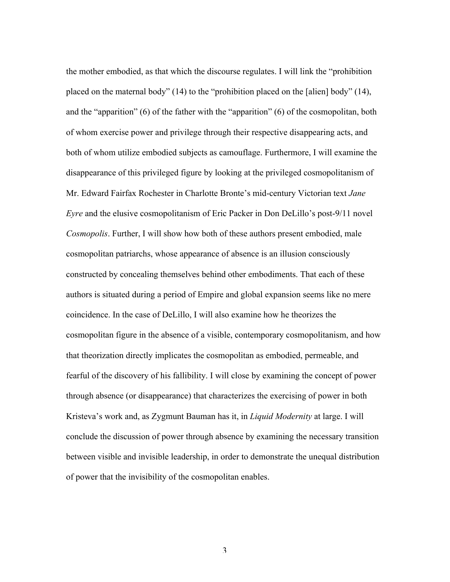the mother embodied, as that which the discourse regulates. I will link the "prohibition placed on the maternal body" (14) to the "prohibition placed on the [alien] body" (14), and the "apparition" (6) of the father with the "apparition" (6) of the cosmopolitan, both of whom exercise power and privilege through their respective disappearing acts, and both of whom utilize embodied subjects as camouflage. Furthermore, I will examine the disappearance of this privileged figure by looking at the privileged cosmopolitanism of Mr. Edward Fairfax Rochester in Charlotte Bronte's mid-century Victorian text *Jane Eyre* and the elusive cosmopolitanism of Eric Packer in Don DeLillo's post-9/11 novel *Cosmopolis*. Further, I will show how both of these authors present embodied, male cosmopolitan patriarchs, whose appearance of absence is an illusion consciously constructed by concealing themselves behind other embodiments. That each of these authors is situated during a period of Empire and global expansion seems like no mere coincidence. In the case of DeLillo, I will also examine how he theorizes the cosmopolitan figure in the absence of a visible, contemporary cosmopolitanism, and how that theorization directly implicates the cosmopolitan as embodied, permeable, and fearful of the discovery of his fallibility. I will close by examining the concept of power through absence (or disappearance) that characterizes the exercising of power in both Kristeva's work and, as Zygmunt Bauman has it, in *Liquid Modernity* at large. I will conclude the discussion of power through absence by examining the necessary transition between visible and invisible leadership, in order to demonstrate the unequal distribution of power that the invisibility of the cosmopolitan enables.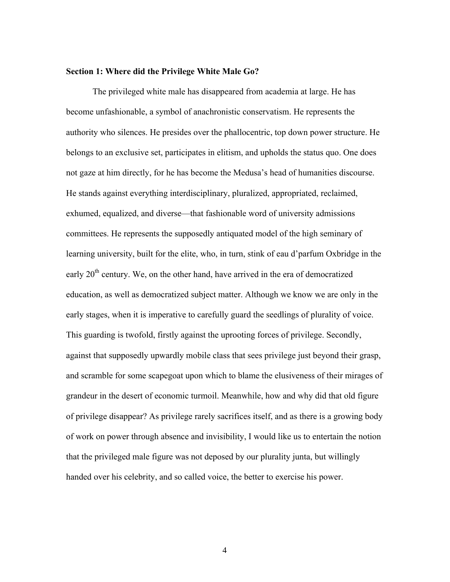#### **Section 1: Where did the Privilege White Male Go?**

The privileged white male has disappeared from academia at large. He has become unfashionable, a symbol of anachronistic conservatism. He represents the authority who silences. He presides over the phallocentric, top down power structure. He belongs to an exclusive set, participates in elitism, and upholds the status quo. One does not gaze at him directly, for he has become the Medusa's head of humanities discourse. He stands against everything interdisciplinary, pluralized, appropriated, reclaimed, exhumed, equalized, and diverse—that fashionable word of university admissions committees. He represents the supposedly antiquated model of the high seminary of learning university, built for the elite, who, in turn, stink of eau d'parfum Oxbridge in the early  $20<sup>th</sup>$  century. We, on the other hand, have arrived in the era of democratized education, as well as democratized subject matter. Although we know we are only in the early stages, when it is imperative to carefully guard the seedlings of plurality of voice. This guarding is twofold, firstly against the uprooting forces of privilege. Secondly, against that supposedly upwardly mobile class that sees privilege just beyond their grasp, and scramble for some scapegoat upon which to blame the elusiveness of their mirages of grandeur in the desert of economic turmoil. Meanwhile, how and why did that old figure of privilege disappear? As privilege rarely sacrifices itself, and as there is a growing body of work on power through absence and invisibility, I would like us to entertain the notion that the privileged male figure was not deposed by our plurality junta, but willingly handed over his celebrity, and so called voice, the better to exercise his power.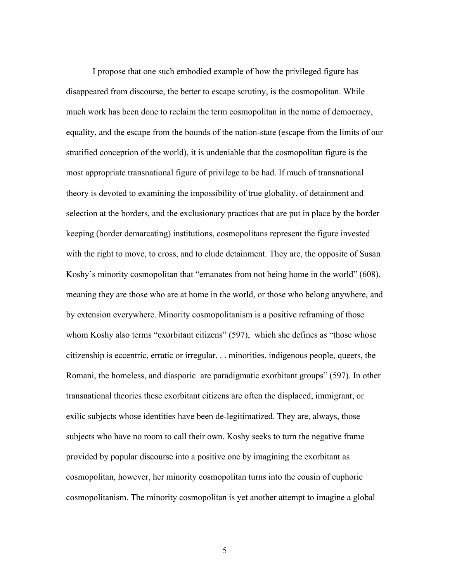I propose that one such embodied example of how the privileged figure has disappeared from discourse, the better to escape scrutiny, is the cosmopolitan. While much work has been done to reclaim the term cosmopolitan in the name of democracy, equality, and the escape from the bounds of the nation-state (escape from the limits of our stratified conception of the world), it is undeniable that the cosmopolitan figure is the most appropriate transnational figure of privilege to be had. If much of transnational theory is devoted to examining the impossibility of true globality, of detainment and selection at the borders, and the exclusionary practices that are put in place by the border keeping (border demarcating) institutions, cosmopolitans represent the figure invested with the right to move, to cross, and to elude detainment. They are, the opposite of Susan Koshy's minority cosmopolitan that "emanates from not being home in the world" (608), meaning they are those who are at home in the world, or those who belong anywhere, and by extension everywhere. Minority cosmopolitanism is a positive reframing of those whom Koshy also terms "exorbitant citizens" (597), which she defines as "those whose citizenship is eccentric, erratic or irregular. . . minorities, indigenous people, queers, the Romani, the homeless, and diasporic are paradigmatic exorbitant groups" (597). In other transnational theories these exorbitant citizens are often the displaced, immigrant, or exilic subjects whose identities have been de-legitimatized. They are, always, those subjects who have no room to call their own. Koshy seeks to turn the negative frame provided by popular discourse into a positive one by imagining the exorbitant as cosmopolitan, however, her minority cosmopolitan turns into the cousin of euphoric cosmopolitanism. The minority cosmopolitan is yet another attempt to imagine a global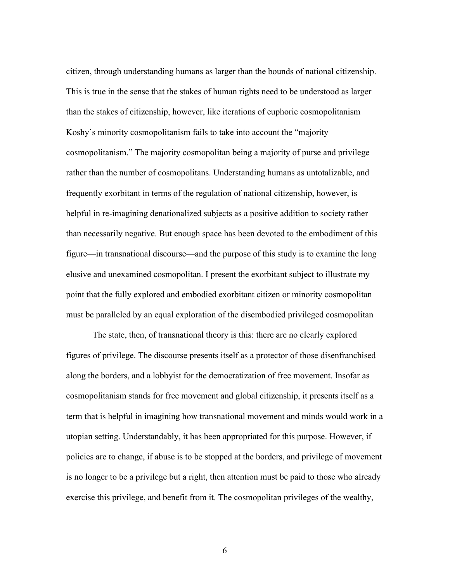citizen, through understanding humans as larger than the bounds of national citizenship. This is true in the sense that the stakes of human rights need to be understood as larger than the stakes of citizenship, however, like iterations of euphoric cosmopolitanism Koshy's minority cosmopolitanism fails to take into account the "majority cosmopolitanism." The majority cosmopolitan being a majority of purse and privilege rather than the number of cosmopolitans. Understanding humans as untotalizable, and frequently exorbitant in terms of the regulation of national citizenship, however, is helpful in re-imagining denationalized subjects as a positive addition to society rather than necessarily negative. But enough space has been devoted to the embodiment of this figure—in transnational discourse—and the purpose of this study is to examine the long elusive and unexamined cosmopolitan. I present the exorbitant subject to illustrate my point that the fully explored and embodied exorbitant citizen or minority cosmopolitan must be paralleled by an equal exploration of the disembodied privileged cosmopolitan

The state, then, of transnational theory is this: there are no clearly explored figures of privilege. The discourse presents itself as a protector of those disenfranchised along the borders, and a lobbyist for the democratization of free movement. Insofar as cosmopolitanism stands for free movement and global citizenship, it presents itself as a term that is helpful in imagining how transnational movement and minds would work in a utopian setting. Understandably, it has been appropriated for this purpose. However, if policies are to change, if abuse is to be stopped at the borders, and privilege of movement is no longer to be a privilege but a right, then attention must be paid to those who already exercise this privilege, and benefit from it. The cosmopolitan privileges of the wealthy,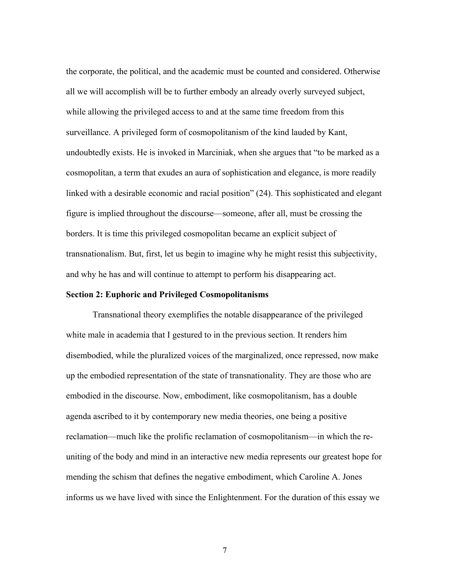the corporate, the political, and the academic must be counted and considered. Otherwise all we will accomplish will be to further embody an already overly surveyed subject, while allowing the privileged access to and at the same time freedom from this surveillance. A privileged form of cosmopolitanism of the kind lauded by Kant, undoubtedly exists. He is invoked in Marciniak, when she argues that "to be marked as a cosmopolitan, a term that exudes an aura of sophistication and elegance, is more readily linked with a desirable economic and racial position" (24). This sophisticated and elegant figure is implied throughout the discourse—someone, after all, must be crossing the borders. It is time this privileged cosmopolitan became an explicit subject of transnationalism. But, first, let us begin to imagine why he might resist this subjectivity, and why he has and will continue to attempt to perform his disappearing act.

#### **Section 2: Euphoric and Privileged Cosmopolitanisms**

Transnational theory exemplifies the notable disappearance of the privileged white male in academia that I gestured to in the previous section. It renders him disembodied, while the pluralized voices of the marginalized, once repressed, now make up the embodied representation of the state of transnationality. They are those who are embodied in the discourse. Now, embodiment, like cosmopolitanism, has a double agenda ascribed to it by contemporary new media theories, one being a positive reclamation—much like the prolific reclamation of cosmopolitanism—in which the reuniting of the body and mind in an interactive new media represents our greatest hope for mending the schism that defines the negative embodiment, which Caroline A. Jones informs us we have lived with since the Enlightenment. For the duration of this essay we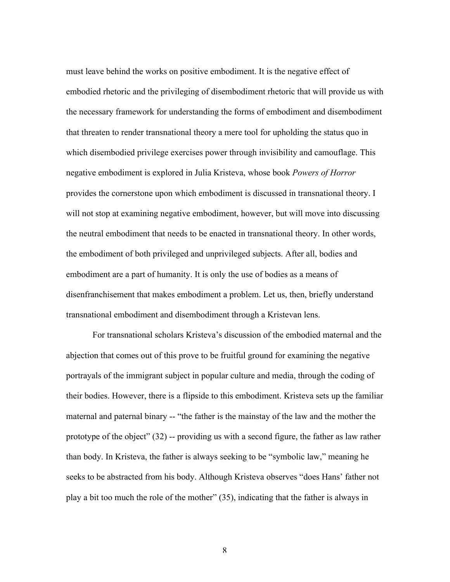must leave behind the works on positive embodiment. It is the negative effect of embodied rhetoric and the privileging of disembodiment rhetoric that will provide us with the necessary framework for understanding the forms of embodiment and disembodiment that threaten to render transnational theory a mere tool for upholding the status quo in which disembodied privilege exercises power through invisibility and camouflage. This negative embodiment is explored in Julia Kristeva, whose book *Powers of Horror* provides the cornerstone upon which embodiment is discussed in transnational theory. I will not stop at examining negative embodiment, however, but will move into discussing the neutral embodiment that needs to be enacted in transnational theory. In other words, the embodiment of both privileged and unprivileged subjects. After all, bodies and embodiment are a part of humanity. It is only the use of bodies as a means of disenfranchisement that makes embodiment a problem. Let us, then, briefly understand transnational embodiment and disembodiment through a Kristevan lens.

For transnational scholars Kristeva's discussion of the embodied maternal and the abjection that comes out of this prove to be fruitful ground for examining the negative portrayals of the immigrant subject in popular culture and media, through the coding of their bodies. However, there is a flipside to this embodiment. Kristeva sets up the familiar maternal and paternal binary -- "the father is the mainstay of the law and the mother the prototype of the object" (32) -- providing us with a second figure, the father as law rather than body. In Kristeva, the father is always seeking to be "symbolic law," meaning he seeks to be abstracted from his body. Although Kristeva observes "does Hans' father not play a bit too much the role of the mother" (35), indicating that the father is always in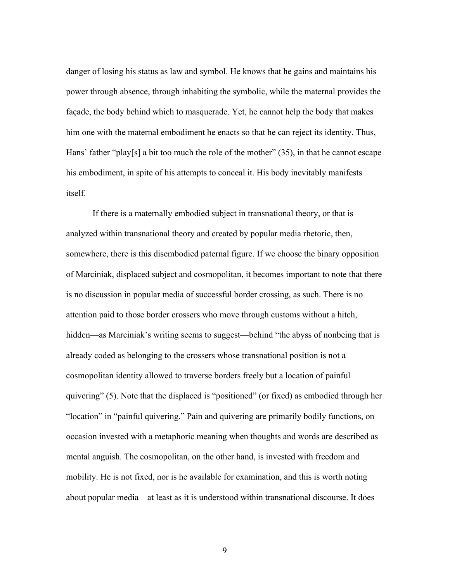danger of losing his status as law and symbol. He knows that he gains and maintains his power through absence, through inhabiting the symbolic, while the maternal provides the façade, the body behind which to masquerade. Yet, he cannot help the body that makes him one with the maternal embodiment he enacts so that he can reject its identity. Thus, Hans' father "play[s] a bit too much the role of the mother" (35), in that he cannot escape his embodiment, in spite of his attempts to conceal it. His body inevitably manifests itself.

If there is a maternally embodied subject in transnational theory, or that is analyzed within transnational theory and created by popular media rhetoric, then, somewhere, there is this disembodied paternal figure. If we choose the binary opposition of Marciniak, displaced subject and cosmopolitan, it becomes important to note that there is no discussion in popular media of successful border crossing, as such. There is no attention paid to those border crossers who move through customs without a hitch, hidden—as Marciniak's writing seems to suggest—behind "the abyss of nonbeing that is already coded as belonging to the crossers whose transnational position is not a cosmopolitan identity allowed to traverse borders freely but a location of painful quivering" (5). Note that the displaced is "positioned" (or fixed) as embodied through her "location" in "painful quivering." Pain and quivering are primarily bodily functions, on occasion invested with a metaphoric meaning when thoughts and words are described as mental anguish. The cosmopolitan, on the other hand, is invested with freedom and mobility. He is not fixed, nor is he available for examination, and this is worth noting about popular media—at least as it is understood within transnational discourse. It does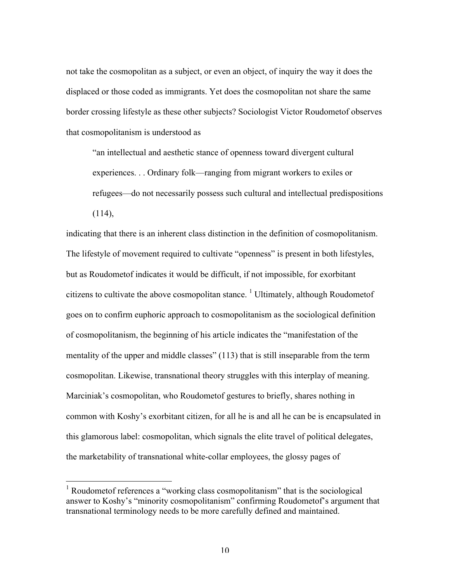not take the cosmopolitan as a subject, or even an object, of inquiry the way it does the displaced or those coded as immigrants. Yet does the cosmopolitan not share the same border crossing lifestyle as these other subjects? Sociologist Victor Roudometof observes that cosmopolitanism is understood as

"an intellectual and aesthetic stance of openness toward divergent cultural experiences. . . Ordinary folk—ranging from migrant workers to exiles or refugees—do not necessarily possess such cultural and intellectual predispositions  $(114)$ ,

indicating that there is an inherent class distinction in the definition of cosmopolitanism. The lifestyle of movement required to cultivate "openness" is present in both lifestyles, but as Roudometof indicates it would be difficult, if not impossible, for exorbitant citizens to cultivate the above cosmopolitan stance.  $\frac{1}{1}$  Ultimately, although Roudometof goes on to confirm euphoric approach to cosmopolitanism as the sociological definition of cosmopolitanism, the beginning of his article indicates the "manifestation of the mentality of the upper and middle classes" (113) that is still inseparable from the term cosmopolitan. Likewise, transnational theory struggles with this interplay of meaning. Marciniak's cosmopolitan, who Roudometof gestures to briefly, shares nothing in common with Koshy's exorbitant citizen, for all he is and all he can be is encapsulated in this glamorous label: cosmopolitan, which signals the elite travel of political delegates, the marketability of transnational white-collar employees, the glossy pages of

<sup>&</sup>lt;sup>1</sup> Roudometof references a "working class cosmopolitanism" that is the sociological answer to Koshy's "minority cosmopolitanism" confirming Roudometof's argument that transnational terminology needs to be more carefully defined and maintained.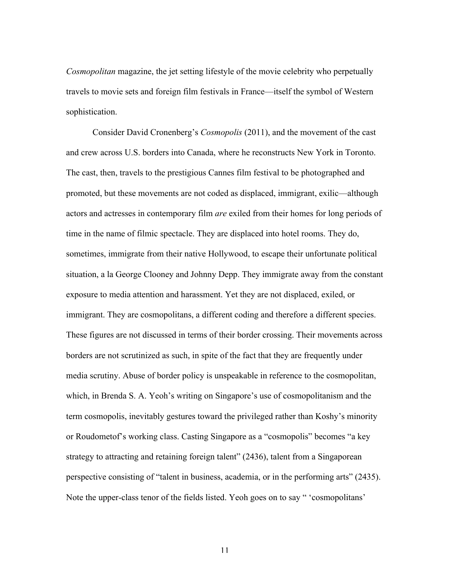*Cosmopolitan* magazine, the jet setting lifestyle of the movie celebrity who perpetually travels to movie sets and foreign film festivals in France—itself the symbol of Western sophistication.

Consider David Cronenberg's *Cosmopolis* (2011), and the movement of the cast and crew across U.S. borders into Canada, where he reconstructs New York in Toronto. The cast, then, travels to the prestigious Cannes film festival to be photographed and promoted, but these movements are not coded as displaced, immigrant, exilic—although actors and actresses in contemporary film *are* exiled from their homes for long periods of time in the name of filmic spectacle. They are displaced into hotel rooms. They do, sometimes, immigrate from their native Hollywood, to escape their unfortunate political situation, a la George Clooney and Johnny Depp. They immigrate away from the constant exposure to media attention and harassment. Yet they are not displaced, exiled, or immigrant. They are cosmopolitans, a different coding and therefore a different species. These figures are not discussed in terms of their border crossing. Their movements across borders are not scrutinized as such, in spite of the fact that they are frequently under media scrutiny. Abuse of border policy is unspeakable in reference to the cosmopolitan, which, in Brenda S. A. Yeoh's writing on Singapore's use of cosmopolitanism and the term cosmopolis, inevitably gestures toward the privileged rather than Koshy's minority or Roudometof's working class. Casting Singapore as a "cosmopolis" becomes "a key strategy to attracting and retaining foreign talent" (2436), talent from a Singaporean perspective consisting of "talent in business, academia, or in the performing arts" (2435). Note the upper-class tenor of the fields listed. Yeoh goes on to say " 'cosmopolitans'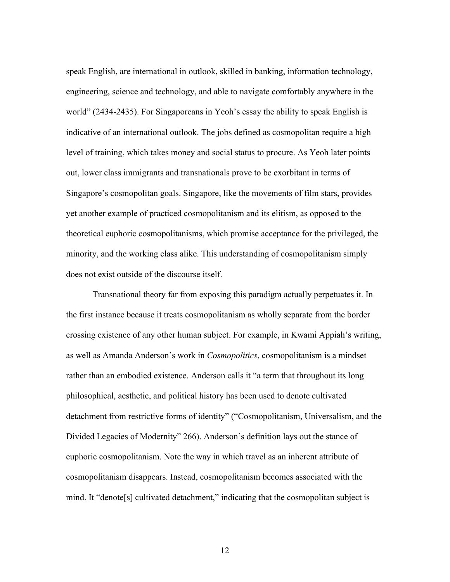speak English, are international in outlook, skilled in banking, information technology, engineering, science and technology, and able to navigate comfortably anywhere in the world" (2434-2435). For Singaporeans in Yeoh's essay the ability to speak English is indicative of an international outlook. The jobs defined as cosmopolitan require a high level of training, which takes money and social status to procure. As Yeoh later points out, lower class immigrants and transnationals prove to be exorbitant in terms of Singapore's cosmopolitan goals. Singapore, like the movements of film stars, provides yet another example of practiced cosmopolitanism and its elitism, as opposed to the theoretical euphoric cosmopolitanisms, which promise acceptance for the privileged, the minority, and the working class alike. This understanding of cosmopolitanism simply does not exist outside of the discourse itself.

Transnational theory far from exposing this paradigm actually perpetuates it. In the first instance because it treats cosmopolitanism as wholly separate from the border crossing existence of any other human subject. For example, in Kwami Appiah's writing, as well as Amanda Anderson's work in *Cosmopolitics*, cosmopolitanism is a mindset rather than an embodied existence. Anderson calls it "a term that throughout its long philosophical, aesthetic, and political history has been used to denote cultivated detachment from restrictive forms of identity" ("Cosmopolitanism, Universalism, and the Divided Legacies of Modernity" 266). Anderson's definition lays out the stance of euphoric cosmopolitanism. Note the way in which travel as an inherent attribute of cosmopolitanism disappears. Instead, cosmopolitanism becomes associated with the mind. It "denote[s] cultivated detachment," indicating that the cosmopolitan subject is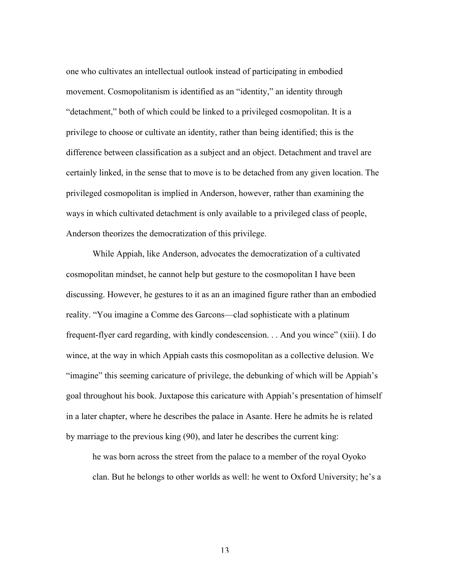one who cultivates an intellectual outlook instead of participating in embodied movement. Cosmopolitanism is identified as an "identity," an identity through "detachment," both of which could be linked to a privileged cosmopolitan. It is a privilege to choose or cultivate an identity, rather than being identified; this is the difference between classification as a subject and an object. Detachment and travel are certainly linked, in the sense that to move is to be detached from any given location. The privileged cosmopolitan is implied in Anderson, however, rather than examining the ways in which cultivated detachment is only available to a privileged class of people, Anderson theorizes the democratization of this privilege.

While Appiah, like Anderson, advocates the democratization of a cultivated cosmopolitan mindset, he cannot help but gesture to the cosmopolitan I have been discussing. However, he gestures to it as an an imagined figure rather than an embodied reality. "You imagine a Comme des Garcons—clad sophisticate with a platinum frequent-flyer card regarding, with kindly condescension. . . And you wince" (xiii). I do wince, at the way in which Appiah casts this cosmopolitan as a collective delusion. We "imagine" this seeming caricature of privilege, the debunking of which will be Appiah's goal throughout his book. Juxtapose this caricature with Appiah's presentation of himself in a later chapter, where he describes the palace in Asante. Here he admits he is related by marriage to the previous king (90), and later he describes the current king:

he was born across the street from the palace to a member of the royal Oyoko clan. But he belongs to other worlds as well: he went to Oxford University; he's a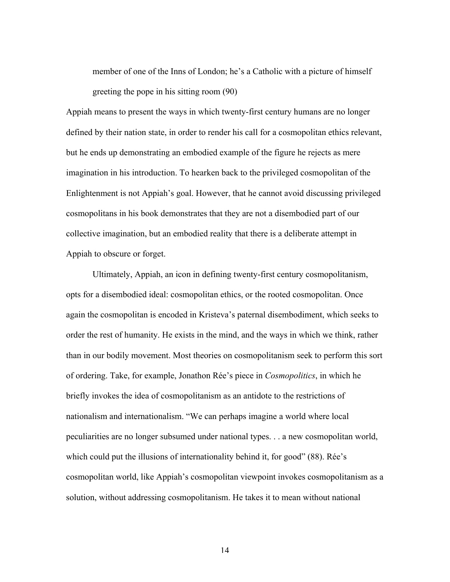member of one of the Inns of London; he's a Catholic with a picture of himself greeting the pope in his sitting room (90)

Appiah means to present the ways in which twenty-first century humans are no longer defined by their nation state, in order to render his call for a cosmopolitan ethics relevant, but he ends up demonstrating an embodied example of the figure he rejects as mere imagination in his introduction. To hearken back to the privileged cosmopolitan of the Enlightenment is not Appiah's goal. However, that he cannot avoid discussing privileged cosmopolitans in his book demonstrates that they are not a disembodied part of our collective imagination, but an embodied reality that there is a deliberate attempt in Appiah to obscure or forget.

Ultimately, Appiah, an icon in defining twenty-first century cosmopolitanism, opts for a disembodied ideal: cosmopolitan ethics, or the rooted cosmopolitan. Once again the cosmopolitan is encoded in Kristeva's paternal disembodiment, which seeks to order the rest of humanity. He exists in the mind, and the ways in which we think, rather than in our bodily movement. Most theories on cosmopolitanism seek to perform this sort of ordering. Take, for example, Jonathon Rée's piece in *Cosmopolitics*, in which he briefly invokes the idea of cosmopolitanism as an antidote to the restrictions of nationalism and internationalism. "We can perhaps imagine a world where local peculiarities are no longer subsumed under national types. . . a new cosmopolitan world, which could put the illusions of internationality behind it, for good" (88). Rée's cosmopolitan world, like Appiah's cosmopolitan viewpoint invokes cosmopolitanism as a solution, without addressing cosmopolitanism. He takes it to mean without national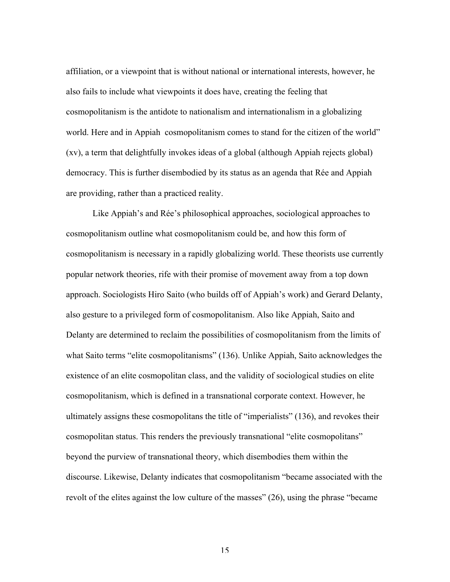affiliation, or a viewpoint that is without national or international interests, however, he also fails to include what viewpoints it does have, creating the feeling that cosmopolitanism is the antidote to nationalism and internationalism in a globalizing world. Here and in Appiah cosmopolitanism comes to stand for the citizen of the world" (xv), a term that delightfully invokes ideas of a global (although Appiah rejects global) democracy. This is further disembodied by its status as an agenda that Rée and Appiah are providing, rather than a practiced reality.

Like Appiah's and Rée's philosophical approaches, sociological approaches to cosmopolitanism outline what cosmopolitanism could be, and how this form of cosmopolitanism is necessary in a rapidly globalizing world. These theorists use currently popular network theories, rife with their promise of movement away from a top down approach. Sociologists Hiro Saito (who builds off of Appiah's work) and Gerard Delanty, also gesture to a privileged form of cosmopolitanism. Also like Appiah, Saito and Delanty are determined to reclaim the possibilities of cosmopolitanism from the limits of what Saito terms "elite cosmopolitanisms" (136). Unlike Appiah, Saito acknowledges the existence of an elite cosmopolitan class, and the validity of sociological studies on elite cosmopolitanism, which is defined in a transnational corporate context. However, he ultimately assigns these cosmopolitans the title of "imperialists" (136), and revokes their cosmopolitan status. This renders the previously transnational "elite cosmopolitans" beyond the purview of transnational theory, which disembodies them within the discourse. Likewise, Delanty indicates that cosmopolitanism "became associated with the revolt of the elites against the low culture of the masses" (26), using the phrase "became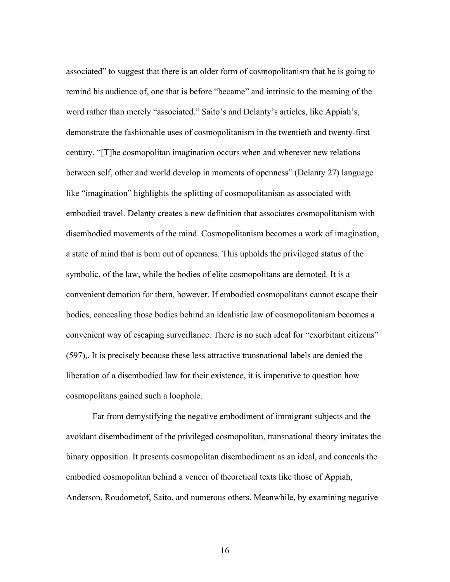associated" to suggest that there is an older form of cosmopolitanism that he is going to remind his audience of, one that is before "became" and intrinsic to the meaning of the word rather than merely "associated." Saito's and Delanty's articles, like Appiah's, demonstrate the fashionable uses of cosmopolitanism in the twentieth and twenty-first century. "[T]he cosmopolitan imagination occurs when and wherever new relations between self, other and world develop in moments of openness" (Delanty 27) language like "imagination" highlights the splitting of cosmopolitanism as associated with embodied travel. Delanty creates a new definition that associates cosmopolitanism with disembodied movements of the mind. Cosmopolitanism becomes a work of imagination, a state of mind that is born out of openness. This upholds the privileged status of the symbolic, of the law, while the bodies of elite cosmopolitans are demoted. It is a convenient demotion for them, however. If embodied cosmopolitans cannot escape their bodies, concealing those bodies behind an idealistic law of cosmopolitanism becomes a convenient way of escaping surveillance. There is no such ideal for "exorbitant citizens" (597),. It is precisely because these less attractive transnational labels are denied the liberation of a disembodied law for their existence, it is imperative to question how cosmopolitans gained such a loophole.

Far from demystifying the negative embodiment of immigrant subjects and the avoidant disembodiment of the privileged cosmopolitan, transnational theory imitates the binary opposition. It presents cosmopolitan disembodiment as an ideal, and conceals the embodied cosmopolitan behind a veneer of theoretical texts like those of Appiah, Anderson, Roudometof, Saito, and numerous others. Meanwhile, by examining negative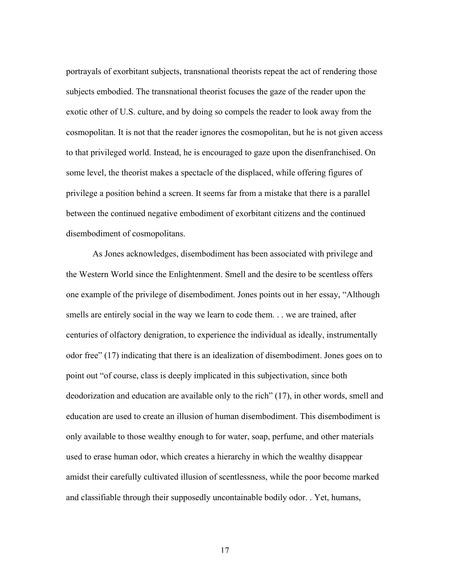portrayals of exorbitant subjects, transnational theorists repeat the act of rendering those subjects embodied. The transnational theorist focuses the gaze of the reader upon the exotic other of U.S. culture, and by doing so compels the reader to look away from the cosmopolitan. It is not that the reader ignores the cosmopolitan, but he is not given access to that privileged world. Instead, he is encouraged to gaze upon the disenfranchised. On some level, the theorist makes a spectacle of the displaced, while offering figures of privilege a position behind a screen. It seems far from a mistake that there is a parallel between the continued negative embodiment of exorbitant citizens and the continued disembodiment of cosmopolitans.

As Jones acknowledges, disembodiment has been associated with privilege and the Western World since the Enlightenment. Smell and the desire to be scentless offers one example of the privilege of disembodiment. Jones points out in her essay, "Although smells are entirely social in the way we learn to code them. . . we are trained, after centuries of olfactory denigration, to experience the individual as ideally, instrumentally odor free" (17) indicating that there is an idealization of disembodiment. Jones goes on to point out "of course, class is deeply implicated in this subjectivation, since both deodorization and education are available only to the rich" (17), in other words, smell and education are used to create an illusion of human disembodiment. This disembodiment is only available to those wealthy enough to for water, soap, perfume, and other materials used to erase human odor, which creates a hierarchy in which the wealthy disappear amidst their carefully cultivated illusion of scentlessness, while the poor become marked and classifiable through their supposedly uncontainable bodily odor. . Yet, humans,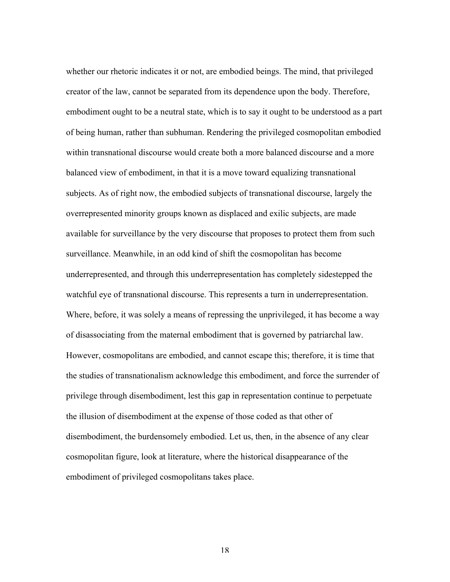whether our rhetoric indicates it or not, are embodied beings. The mind, that privileged creator of the law, cannot be separated from its dependence upon the body. Therefore, embodiment ought to be a neutral state, which is to say it ought to be understood as a part of being human, rather than subhuman. Rendering the privileged cosmopolitan embodied within transnational discourse would create both a more balanced discourse and a more balanced view of embodiment, in that it is a move toward equalizing transnational subjects. As of right now, the embodied subjects of transnational discourse, largely the overrepresented minority groups known as displaced and exilic subjects, are made available for surveillance by the very discourse that proposes to protect them from such surveillance. Meanwhile, in an odd kind of shift the cosmopolitan has become underrepresented, and through this underrepresentation has completely sidestepped the watchful eye of transnational discourse. This represents a turn in underrepresentation. Where, before, it was solely a means of repressing the unprivileged, it has become a way of disassociating from the maternal embodiment that is governed by patriarchal law. However, cosmopolitans are embodied, and cannot escape this; therefore, it is time that the studies of transnationalism acknowledge this embodiment, and force the surrender of privilege through disembodiment, lest this gap in representation continue to perpetuate the illusion of disembodiment at the expense of those coded as that other of disembodiment, the burdensomely embodied. Let us, then, in the absence of any clear cosmopolitan figure, look at literature, where the historical disappearance of the embodiment of privileged cosmopolitans takes place.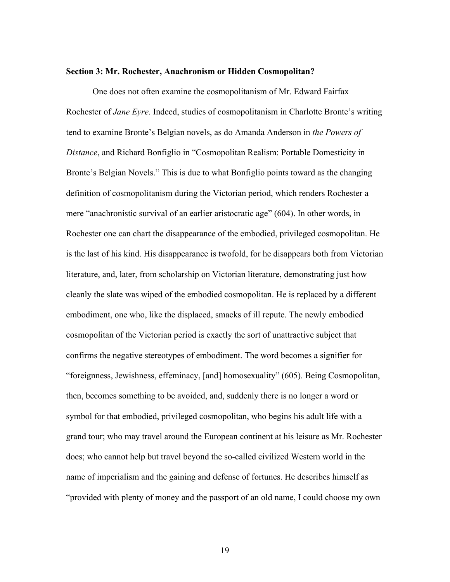#### **Section 3: Mr. Rochester, Anachronism or Hidden Cosmopolitan?**

One does not often examine the cosmopolitanism of Mr. Edward Fairfax Rochester of *Jane Eyre*. Indeed, studies of cosmopolitanism in Charlotte Bronte's writing tend to examine Bronte's Belgian novels, as do Amanda Anderson in *the Powers of Distance*, and Richard Bonfiglio in "Cosmopolitan Realism: Portable Domesticity in Bronte's Belgian Novels." This is due to what Bonfiglio points toward as the changing definition of cosmopolitanism during the Victorian period, which renders Rochester a mere "anachronistic survival of an earlier aristocratic age" (604). In other words, in Rochester one can chart the disappearance of the embodied, privileged cosmopolitan. He is the last of his kind. His disappearance is twofold, for he disappears both from Victorian literature, and, later, from scholarship on Victorian literature, demonstrating just how cleanly the slate was wiped of the embodied cosmopolitan. He is replaced by a different embodiment, one who, like the displaced, smacks of ill repute. The newly embodied cosmopolitan of the Victorian period is exactly the sort of unattractive subject that confirms the negative stereotypes of embodiment. The word becomes a signifier for "foreignness, Jewishness, effeminacy, [and] homosexuality" (605). Being Cosmopolitan, then, becomes something to be avoided, and, suddenly there is no longer a word or symbol for that embodied, privileged cosmopolitan, who begins his adult life with a grand tour; who may travel around the European continent at his leisure as Mr. Rochester does; who cannot help but travel beyond the so-called civilized Western world in the name of imperialism and the gaining and defense of fortunes. He describes himself as "provided with plenty of money and the passport of an old name, I could choose my own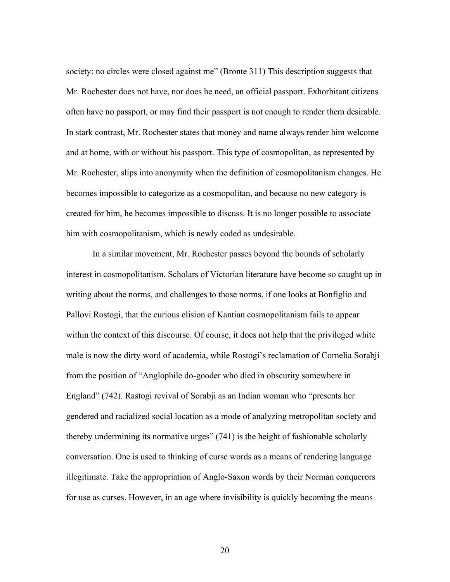society: no circles were closed against me" (Bronte 311) This description suggests that Mr. Rochester does not have, nor does he need, an official passport. Exhorbitant citizens often have no passport, or may find their passport is not enough to render them desirable. In stark contrast, Mr. Rochester states that money and name always render him welcome and at home, with or without his passport. This type of cosmopolitan, as represented by Mr. Rochester, slips into anonymity when the definition of cosmopolitanism changes. He becomes impossible to categorize as a cosmopolitan, and because no new category is created for him, he becomes impossible to discuss. It is no longer possible to associate him with cosmopolitanism, which is newly coded as undesirable.

In a similar movement, Mr. Rochester passes beyond the bounds of scholarly interest in cosmopolitanism. Scholars of Victorian literature have become so caught up in writing about the norms, and challenges to those norms, if one looks at Bonfiglio and Pallovi Rostogi, that the curious elision of Kantian cosmopolitanism fails to appear within the context of this discourse. Of course, it does not help that the privileged white male is now the dirty word of academia, while Rostogi's reclamation of Cornelia Sorabji from the position of "Anglophile do-gooder who died in obscurity somewhere in England" (742). Rastogi revival of Sorabji as an Indian woman who "presents her gendered and racialized social location as a mode of analyzing metropolitan society and thereby undermining its normative urges" (741) is the height of fashionable scholarly conversation. One is used to thinking of curse words as a means of rendering language illegitimate. Take the appropriation of Anglo-Saxon words by their Norman conquerors for use as curses. However, in an age where invisibility is quickly becoming the means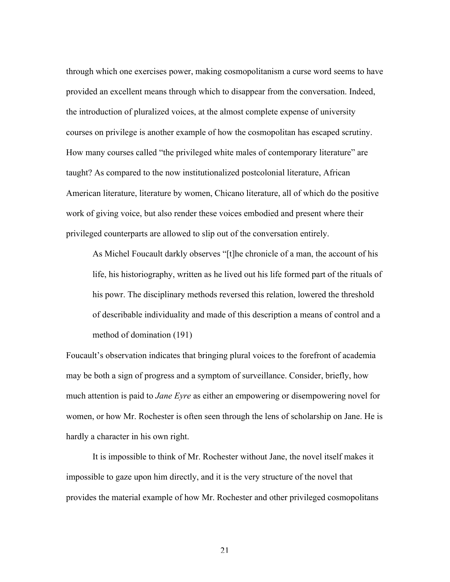through which one exercises power, making cosmopolitanism a curse word seems to have provided an excellent means through which to disappear from the conversation. Indeed, the introduction of pluralized voices, at the almost complete expense of university courses on privilege is another example of how the cosmopolitan has escaped scrutiny. How many courses called "the privileged white males of contemporary literature" are taught? As compared to the now institutionalized postcolonial literature, African American literature, literature by women, Chicano literature, all of which do the positive work of giving voice, but also render these voices embodied and present where their privileged counterparts are allowed to slip out of the conversation entirely.

As Michel Foucault darkly observes "[t]he chronicle of a man, the account of his life, his historiography, written as he lived out his life formed part of the rituals of his powr. The disciplinary methods reversed this relation, lowered the threshold of describable individuality and made of this description a means of control and a method of domination (191)

Foucault's observation indicates that bringing plural voices to the forefront of academia may be both a sign of progress and a symptom of surveillance. Consider, briefly, how much attention is paid to *Jane Eyre* as either an empowering or disempowering novel for women, or how Mr. Rochester is often seen through the lens of scholarship on Jane. He is hardly a character in his own right.

It is impossible to think of Mr. Rochester without Jane, the novel itself makes it impossible to gaze upon him directly, and it is the very structure of the novel that provides the material example of how Mr. Rochester and other privileged cosmopolitans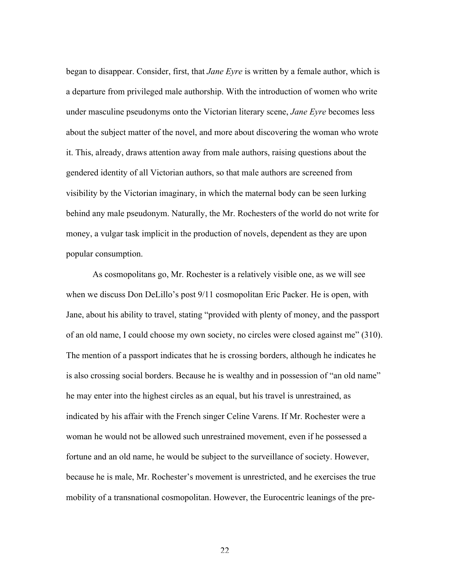began to disappear. Consider, first, that *Jane Eyre* is written by a female author, which is a departure from privileged male authorship. With the introduction of women who write under masculine pseudonyms onto the Victorian literary scene, *Jane Eyre* becomes less about the subject matter of the novel, and more about discovering the woman who wrote it. This, already, draws attention away from male authors, raising questions about the gendered identity of all Victorian authors, so that male authors are screened from visibility by the Victorian imaginary, in which the maternal body can be seen lurking behind any male pseudonym. Naturally, the Mr. Rochesters of the world do not write for money, a vulgar task implicit in the production of novels, dependent as they are upon popular consumption.

As cosmopolitans go, Mr. Rochester is a relatively visible one, as we will see when we discuss Don DeLillo's post  $9/11$  cosmopolitan Eric Packer. He is open, with Jane, about his ability to travel, stating "provided with plenty of money, and the passport of an old name, I could choose my own society, no circles were closed against me" (310). The mention of a passport indicates that he is crossing borders, although he indicates he is also crossing social borders. Because he is wealthy and in possession of "an old name" he may enter into the highest circles as an equal, but his travel is unrestrained, as indicated by his affair with the French singer Celine Varens. If Mr. Rochester were a woman he would not be allowed such unrestrained movement, even if he possessed a fortune and an old name, he would be subject to the surveillance of society. However, because he is male, Mr. Rochester's movement is unrestricted, and he exercises the true mobility of a transnational cosmopolitan. However, the Eurocentric leanings of the pre-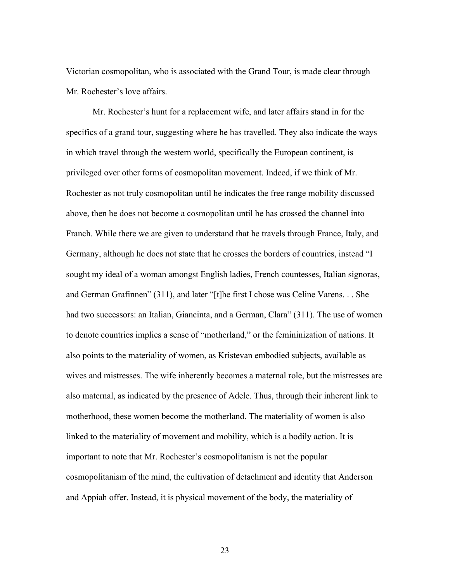Victorian cosmopolitan, who is associated with the Grand Tour, is made clear through Mr. Rochester's love affairs.

Mr. Rochester's hunt for a replacement wife, and later affairs stand in for the specifics of a grand tour, suggesting where he has travelled. They also indicate the ways in which travel through the western world, specifically the European continent, is privileged over other forms of cosmopolitan movement. Indeed, if we think of Mr. Rochester as not truly cosmopolitan until he indicates the free range mobility discussed above, then he does not become a cosmopolitan until he has crossed the channel into Franch. While there we are given to understand that he travels through France, Italy, and Germany, although he does not state that he crosses the borders of countries, instead "I sought my ideal of a woman amongst English ladies, French countesses, Italian signoras, and German Grafinnen" (311), and later "[t]he first I chose was Celine Varens. . . She had two successors: an Italian, Giancinta, and a German, Clara" (311). The use of women to denote countries implies a sense of "motherland," or the femininization of nations. It also points to the materiality of women, as Kristevan embodied subjects, available as wives and mistresses. The wife inherently becomes a maternal role, but the mistresses are also maternal, as indicated by the presence of Adele. Thus, through their inherent link to motherhood, these women become the motherland. The materiality of women is also linked to the materiality of movement and mobility, which is a bodily action. It is important to note that Mr. Rochester's cosmopolitanism is not the popular cosmopolitanism of the mind, the cultivation of detachment and identity that Anderson and Appiah offer. Instead, it is physical movement of the body, the materiality of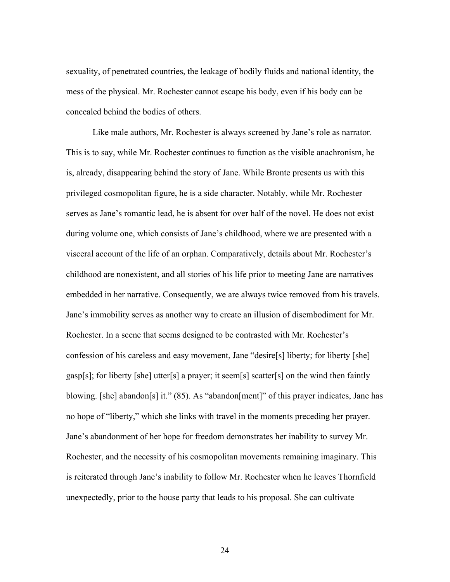sexuality, of penetrated countries, the leakage of bodily fluids and national identity, the mess of the physical. Mr. Rochester cannot escape his body, even if his body can be concealed behind the bodies of others.

Like male authors, Mr. Rochester is always screened by Jane's role as narrator. This is to say, while Mr. Rochester continues to function as the visible anachronism, he is, already, disappearing behind the story of Jane. While Bronte presents us with this privileged cosmopolitan figure, he is a side character. Notably, while Mr. Rochester serves as Jane's romantic lead, he is absent for over half of the novel. He does not exist during volume one, which consists of Jane's childhood, where we are presented with a visceral account of the life of an orphan. Comparatively, details about Mr. Rochester's childhood are nonexistent, and all stories of his life prior to meeting Jane are narratives embedded in her narrative. Consequently, we are always twice removed from his travels. Jane's immobility serves as another way to create an illusion of disembodiment for Mr. Rochester. In a scene that seems designed to be contrasted with Mr. Rochester's confession of his careless and easy movement, Jane "desire[s] liberty; for liberty [she] gasp[s]; for liberty [she] utter[s] a prayer; it seem[s] scatter[s] on the wind then faintly blowing. [she] abandon[s] it." (85). As "abandon[ment]" of this prayer indicates, Jane has no hope of "liberty," which she links with travel in the moments preceding her prayer. Jane's abandonment of her hope for freedom demonstrates her inability to survey Mr. Rochester, and the necessity of his cosmopolitan movements remaining imaginary. This is reiterated through Jane's inability to follow Mr. Rochester when he leaves Thornfield unexpectedly, prior to the house party that leads to his proposal. She can cultivate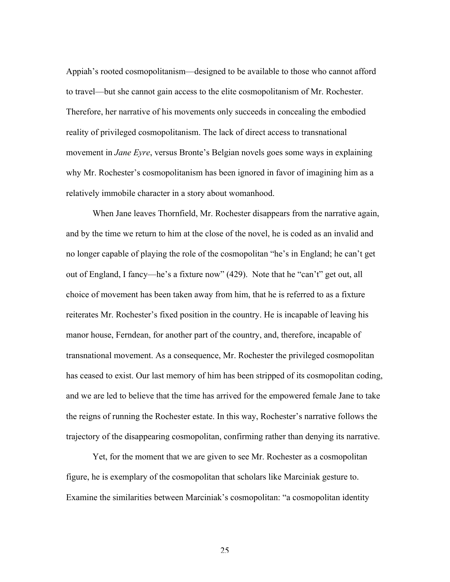Appiah's rooted cosmopolitanism—designed to be available to those who cannot afford to travel—but she cannot gain access to the elite cosmopolitanism of Mr. Rochester. Therefore, her narrative of his movements only succeeds in concealing the embodied reality of privileged cosmopolitanism. The lack of direct access to transnational movement in *Jane Eyre*, versus Bronte's Belgian novels goes some ways in explaining why Mr. Rochester's cosmopolitanism has been ignored in favor of imagining him as a relatively immobile character in a story about womanhood.

When Jane leaves Thornfield, Mr. Rochester disappears from the narrative again, and by the time we return to him at the close of the novel, he is coded as an invalid and no longer capable of playing the role of the cosmopolitan "he's in England; he can't get out of England, I fancy—he's a fixture now" (429). Note that he "can't" get out, all choice of movement has been taken away from him, that he is referred to as a fixture reiterates Mr. Rochester's fixed position in the country. He is incapable of leaving his manor house, Ferndean, for another part of the country, and, therefore, incapable of transnational movement. As a consequence, Mr. Rochester the privileged cosmopolitan has ceased to exist. Our last memory of him has been stripped of its cosmopolitan coding, and we are led to believe that the time has arrived for the empowered female Jane to take the reigns of running the Rochester estate. In this way, Rochester's narrative follows the trajectory of the disappearing cosmopolitan, confirming rather than denying its narrative.

Yet, for the moment that we are given to see Mr. Rochester as a cosmopolitan figure, he is exemplary of the cosmopolitan that scholars like Marciniak gesture to. Examine the similarities between Marciniak's cosmopolitan: "a cosmopolitan identity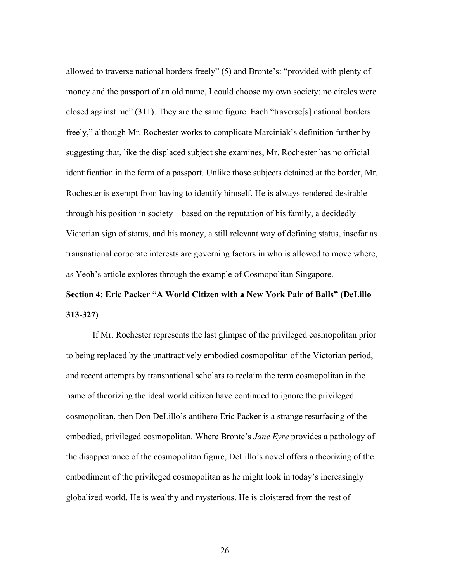allowed to traverse national borders freely" (5) and Bronte's: "provided with plenty of money and the passport of an old name, I could choose my own society: no circles were closed against me" (311). They are the same figure. Each "traverse[s] national borders freely," although Mr. Rochester works to complicate Marciniak's definition further by suggesting that, like the displaced subject she examines, Mr. Rochester has no official identification in the form of a passport. Unlike those subjects detained at the border, Mr. Rochester is exempt from having to identify himself. He is always rendered desirable through his position in society—based on the reputation of his family, a decidedly Victorian sign of status, and his money, a still relevant way of defining status, insofar as transnational corporate interests are governing factors in who is allowed to move where, as Yeoh's article explores through the example of Cosmopolitan Singapore.

## **Section 4: Eric Packer "A World Citizen with a New York Pair of Balls" (DeLillo 313-327)**

If Mr. Rochester represents the last glimpse of the privileged cosmopolitan prior to being replaced by the unattractively embodied cosmopolitan of the Victorian period, and recent attempts by transnational scholars to reclaim the term cosmopolitan in the name of theorizing the ideal world citizen have continued to ignore the privileged cosmopolitan, then Don DeLillo's antihero Eric Packer is a strange resurfacing of the embodied, privileged cosmopolitan. Where Bronte's *Jane Eyre* provides a pathology of the disappearance of the cosmopolitan figure, DeLillo's novel offers a theorizing of the embodiment of the privileged cosmopolitan as he might look in today's increasingly globalized world. He is wealthy and mysterious. He is cloistered from the rest of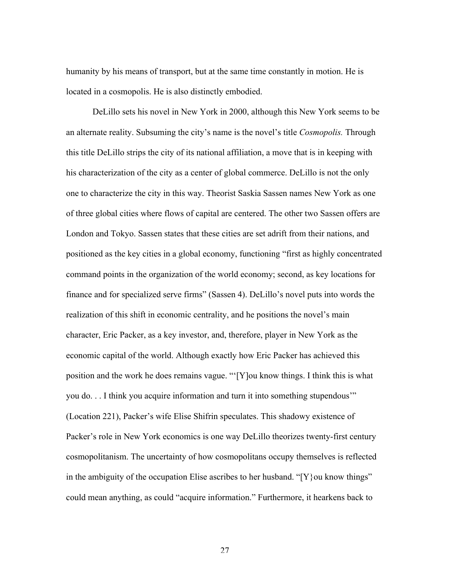humanity by his means of transport, but at the same time constantly in motion. He is located in a cosmopolis. He is also distinctly embodied.

DeLillo sets his novel in New York in 2000, although this New York seems to be an alternate reality. Subsuming the city's name is the novel's title *Cosmopolis.* Through this title DeLillo strips the city of its national affiliation, a move that is in keeping with his characterization of the city as a center of global commerce. DeLillo is not the only one to characterize the city in this way. Theorist Saskia Sassen names New York as one of three global cities where flows of capital are centered. The other two Sassen offers are London and Tokyo. Sassen states that these cities are set adrift from their nations, and positioned as the key cities in a global economy, functioning "first as highly concentrated command points in the organization of the world economy; second, as key locations for finance and for specialized serve firms" (Sassen 4). DeLillo's novel puts into words the realization of this shift in economic centrality, and he positions the novel's main character, Eric Packer, as a key investor, and, therefore, player in New York as the economic capital of the world. Although exactly how Eric Packer has achieved this position and the work he does remains vague. "'[Y]ou know things. I think this is what you do. . . I think you acquire information and turn it into something stupendous'" (Location 221), Packer's wife Elise Shifrin speculates. This shadowy existence of Packer's role in New York economics is one way DeLillo theorizes twenty-first century cosmopolitanism. The uncertainty of how cosmopolitans occupy themselves is reflected in the ambiguity of the occupation Elise ascribes to her husband. " $[Y]$  ou know things" could mean anything, as could "acquire information." Furthermore, it hearkens back to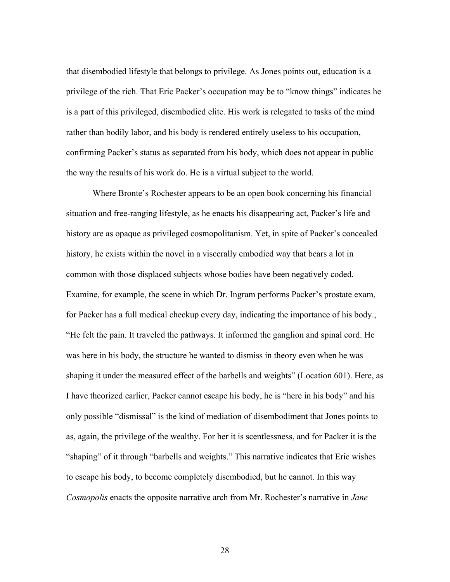that disembodied lifestyle that belongs to privilege. As Jones points out, education is a privilege of the rich. That Eric Packer's occupation may be to "know things" indicates he is a part of this privileged, disembodied elite. His work is relegated to tasks of the mind rather than bodily labor, and his body is rendered entirely useless to his occupation, confirming Packer's status as separated from his body, which does not appear in public the way the results of his work do. He is a virtual subject to the world.

Where Bronte's Rochester appears to be an open book concerning his financial situation and free-ranging lifestyle, as he enacts his disappearing act, Packer's life and history are as opaque as privileged cosmopolitanism. Yet, in spite of Packer's concealed history, he exists within the novel in a viscerally embodied way that bears a lot in common with those displaced subjects whose bodies have been negatively coded. Examine, for example, the scene in which Dr. Ingram performs Packer's prostate exam, for Packer has a full medical checkup every day, indicating the importance of his body., "He felt the pain. It traveled the pathways. It informed the ganglion and spinal cord. He was here in his body, the structure he wanted to dismiss in theory even when he was shaping it under the measured effect of the barbells and weights" (Location 601). Here, as I have theorized earlier, Packer cannot escape his body, he is "here in his body" and his only possible "dismissal" is the kind of mediation of disembodiment that Jones points to as, again, the privilege of the wealthy. For her it is scentlessness, and for Packer it is the "shaping" of it through "barbells and weights." This narrative indicates that Eric wishes to escape his body, to become completely disembodied, but he cannot. In this way *Cosmopolis* enacts the opposite narrative arch from Mr. Rochester's narrative in *Jane*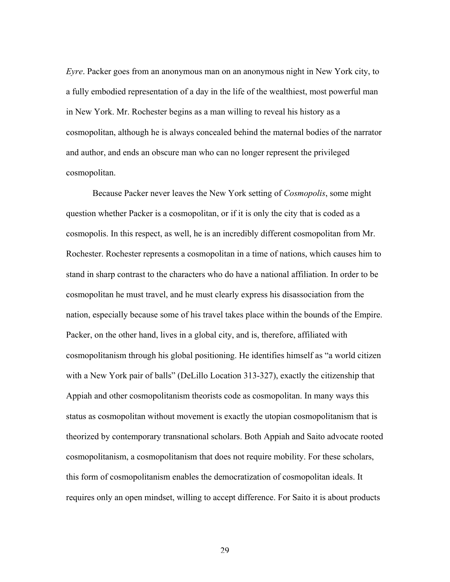*Eyre*. Packer goes from an anonymous man on an anonymous night in New York city, to a fully embodied representation of a day in the life of the wealthiest, most powerful man in New York. Mr. Rochester begins as a man willing to reveal his history as a cosmopolitan, although he is always concealed behind the maternal bodies of the narrator and author, and ends an obscure man who can no longer represent the privileged cosmopolitan.

Because Packer never leaves the New York setting of *Cosmopolis*, some might question whether Packer is a cosmopolitan, or if it is only the city that is coded as a cosmopolis. In this respect, as well, he is an incredibly different cosmopolitan from Mr. Rochester. Rochester represents a cosmopolitan in a time of nations, which causes him to stand in sharp contrast to the characters who do have a national affiliation. In order to be cosmopolitan he must travel, and he must clearly express his disassociation from the nation, especially because some of his travel takes place within the bounds of the Empire. Packer, on the other hand, lives in a global city, and is, therefore, affiliated with cosmopolitanism through his global positioning. He identifies himself as "a world citizen with a New York pair of balls" (DeLillo Location 313-327), exactly the citizenship that Appiah and other cosmopolitanism theorists code as cosmopolitan. In many ways this status as cosmopolitan without movement is exactly the utopian cosmopolitanism that is theorized by contemporary transnational scholars. Both Appiah and Saito advocate rooted cosmopolitanism, a cosmopolitanism that does not require mobility. For these scholars, this form of cosmopolitanism enables the democratization of cosmopolitan ideals. It requires only an open mindset, willing to accept difference. For Saito it is about products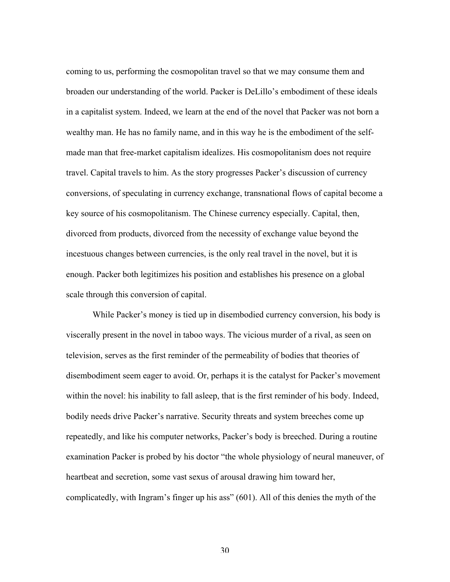coming to us, performing the cosmopolitan travel so that we may consume them and broaden our understanding of the world. Packer is DeLillo's embodiment of these ideals in a capitalist system. Indeed, we learn at the end of the novel that Packer was not born a wealthy man. He has no family name, and in this way he is the embodiment of the selfmade man that free-market capitalism idealizes. His cosmopolitanism does not require travel. Capital travels to him. As the story progresses Packer's discussion of currency conversions, of speculating in currency exchange, transnational flows of capital become a key source of his cosmopolitanism. The Chinese currency especially. Capital, then, divorced from products, divorced from the necessity of exchange value beyond the incestuous changes between currencies, is the only real travel in the novel, but it is enough. Packer both legitimizes his position and establishes his presence on a global scale through this conversion of capital.

While Packer's money is tied up in disembodied currency conversion, his body is viscerally present in the novel in taboo ways. The vicious murder of a rival, as seen on television, serves as the first reminder of the permeability of bodies that theories of disembodiment seem eager to avoid. Or, perhaps it is the catalyst for Packer's movement within the novel: his inability to fall asleep, that is the first reminder of his body. Indeed, bodily needs drive Packer's narrative. Security threats and system breeches come up repeatedly, and like his computer networks, Packer's body is breeched. During a routine examination Packer is probed by his doctor "the whole physiology of neural maneuver, of heartbeat and secretion, some vast sexus of arousal drawing him toward her, complicatedly, with Ingram's finger up his ass" (601). All of this denies the myth of the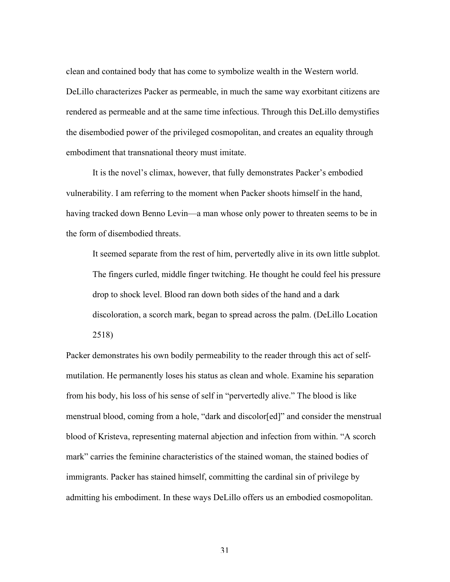clean and contained body that has come to symbolize wealth in the Western world. DeLillo characterizes Packer as permeable, in much the same way exorbitant citizens are rendered as permeable and at the same time infectious. Through this DeLillo demystifies the disembodied power of the privileged cosmopolitan, and creates an equality through embodiment that transnational theory must imitate.

It is the novel's climax, however, that fully demonstrates Packer's embodied vulnerability. I am referring to the moment when Packer shoots himself in the hand, having tracked down Benno Levin—a man whose only power to threaten seems to be in the form of disembodied threats.

It seemed separate from the rest of him, pervertedly alive in its own little subplot. The fingers curled, middle finger twitching. He thought he could feel his pressure drop to shock level. Blood ran down both sides of the hand and a dark discoloration, a scorch mark, began to spread across the palm. (DeLillo Location 2518)

Packer demonstrates his own bodily permeability to the reader through this act of selfmutilation. He permanently loses his status as clean and whole. Examine his separation from his body, his loss of his sense of self in "pervertedly alive." The blood is like menstrual blood, coming from a hole, "dark and discolor[ed]" and consider the menstrual blood of Kristeva, representing maternal abjection and infection from within. "A scorch mark" carries the feminine characteristics of the stained woman, the stained bodies of immigrants. Packer has stained himself, committing the cardinal sin of privilege by admitting his embodiment. In these ways DeLillo offers us an embodied cosmopolitan.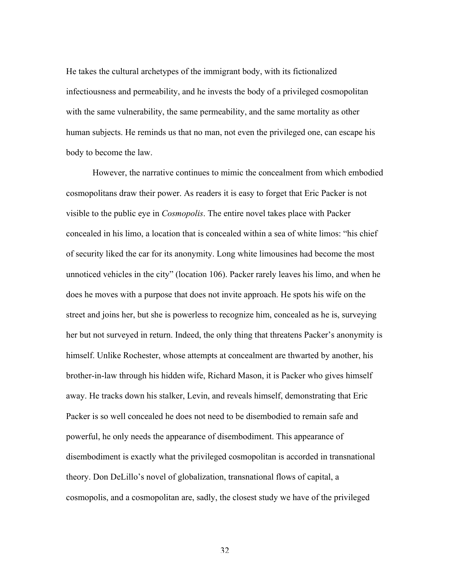He takes the cultural archetypes of the immigrant body, with its fictionalized infectiousness and permeability, and he invests the body of a privileged cosmopolitan with the same vulnerability, the same permeability, and the same mortality as other human subjects. He reminds us that no man, not even the privileged one, can escape his body to become the law.

However, the narrative continues to mimic the concealment from which embodied cosmopolitans draw their power. As readers it is easy to forget that Eric Packer is not visible to the public eye in *Cosmopolis*. The entire novel takes place with Packer concealed in his limo, a location that is concealed within a sea of white limos: "his chief of security liked the car for its anonymity. Long white limousines had become the most unnoticed vehicles in the city" (location 106). Packer rarely leaves his limo, and when he does he moves with a purpose that does not invite approach. He spots his wife on the street and joins her, but she is powerless to recognize him, concealed as he is, surveying her but not surveyed in return. Indeed, the only thing that threatens Packer's anonymity is himself. Unlike Rochester, whose attempts at concealment are thwarted by another, his brother-in-law through his hidden wife, Richard Mason, it is Packer who gives himself away. He tracks down his stalker, Levin, and reveals himself, demonstrating that Eric Packer is so well concealed he does not need to be disembodied to remain safe and powerful, he only needs the appearance of disembodiment. This appearance of disembodiment is exactly what the privileged cosmopolitan is accorded in transnational theory. Don DeLillo's novel of globalization, transnational flows of capital, a cosmopolis, and a cosmopolitan are, sadly, the closest study we have of the privileged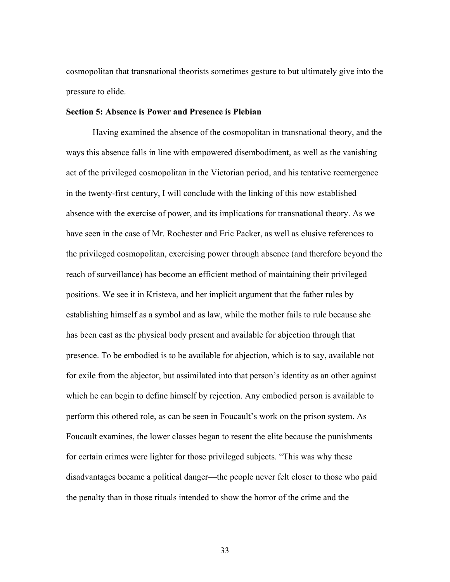cosmopolitan that transnational theorists sometimes gesture to but ultimately give into the pressure to elide.

#### **Section 5: Absence is Power and Presence is Plebian**

Having examined the absence of the cosmopolitan in transnational theory, and the ways this absence falls in line with empowered disembodiment, as well as the vanishing act of the privileged cosmopolitan in the Victorian period, and his tentative reemergence in the twenty-first century, I will conclude with the linking of this now established absence with the exercise of power, and its implications for transnational theory. As we have seen in the case of Mr. Rochester and Eric Packer, as well as elusive references to the privileged cosmopolitan, exercising power through absence (and therefore beyond the reach of surveillance) has become an efficient method of maintaining their privileged positions. We see it in Kristeva, and her implicit argument that the father rules by establishing himself as a symbol and as law, while the mother fails to rule because she has been cast as the physical body present and available for abjection through that presence. To be embodied is to be available for abjection, which is to say, available not for exile from the abjector, but assimilated into that person's identity as an other against which he can begin to define himself by rejection. Any embodied person is available to perform this othered role, as can be seen in Foucault's work on the prison system. As Foucault examines, the lower classes began to resent the elite because the punishments for certain crimes were lighter for those privileged subjects. "This was why these disadvantages became a political danger—the people never felt closer to those who paid the penalty than in those rituals intended to show the horror of the crime and the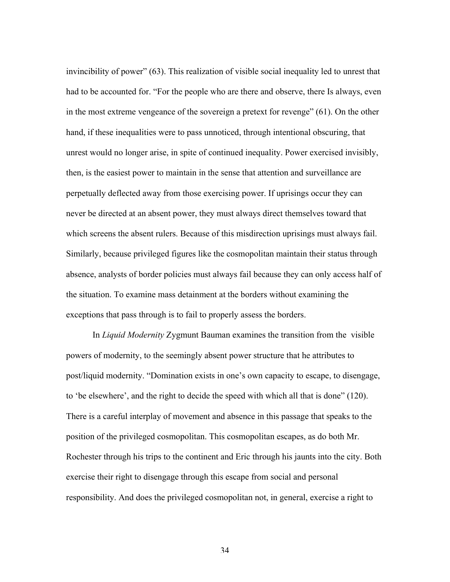invincibility of power" (63). This realization of visible social inequality led to unrest that had to be accounted for. "For the people who are there and observe, there Is always, even in the most extreme vengeance of the sovereign a pretext for revenge" (61). On the other hand, if these inequalities were to pass unnoticed, through intentional obscuring, that unrest would no longer arise, in spite of continued inequality. Power exercised invisibly, then, is the easiest power to maintain in the sense that attention and surveillance are perpetually deflected away from those exercising power. If uprisings occur they can never be directed at an absent power, they must always direct themselves toward that which screens the absent rulers. Because of this misdirection uprisings must always fail. Similarly, because privileged figures like the cosmopolitan maintain their status through absence, analysts of border policies must always fail because they can only access half of the situation. To examine mass detainment at the borders without examining the exceptions that pass through is to fail to properly assess the borders.

In *Liquid Modernity* Zygmunt Bauman examines the transition from the visible powers of modernity, to the seemingly absent power structure that he attributes to post/liquid modernity. "Domination exists in one's own capacity to escape, to disengage, to 'be elsewhere', and the right to decide the speed with which all that is done" (120). There is a careful interplay of movement and absence in this passage that speaks to the position of the privileged cosmopolitan. This cosmopolitan escapes, as do both Mr. Rochester through his trips to the continent and Eric through his jaunts into the city. Both exercise their right to disengage through this escape from social and personal responsibility. And does the privileged cosmopolitan not, in general, exercise a right to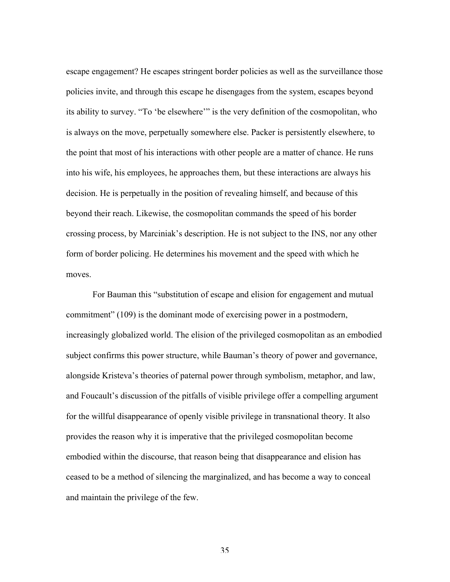escape engagement? He escapes stringent border policies as well as the surveillance those policies invite, and through this escape he disengages from the system, escapes beyond its ability to survey. "To 'be elsewhere'" is the very definition of the cosmopolitan, who is always on the move, perpetually somewhere else. Packer is persistently elsewhere, to the point that most of his interactions with other people are a matter of chance. He runs into his wife, his employees, he approaches them, but these interactions are always his decision. He is perpetually in the position of revealing himself, and because of this beyond their reach. Likewise, the cosmopolitan commands the speed of his border crossing process, by Marciniak's description. He is not subject to the INS, nor any other form of border policing. He determines his movement and the speed with which he moves.

For Bauman this "substitution of escape and elision for engagement and mutual commitment" (109) is the dominant mode of exercising power in a postmodern, increasingly globalized world. The elision of the privileged cosmopolitan as an embodied subject confirms this power structure, while Bauman's theory of power and governance, alongside Kristeva's theories of paternal power through symbolism, metaphor, and law, and Foucault's discussion of the pitfalls of visible privilege offer a compelling argument for the willful disappearance of openly visible privilege in transnational theory. It also provides the reason why it is imperative that the privileged cosmopolitan become embodied within the discourse, that reason being that disappearance and elision has ceased to be a method of silencing the marginalized, and has become a way to conceal and maintain the privilege of the few.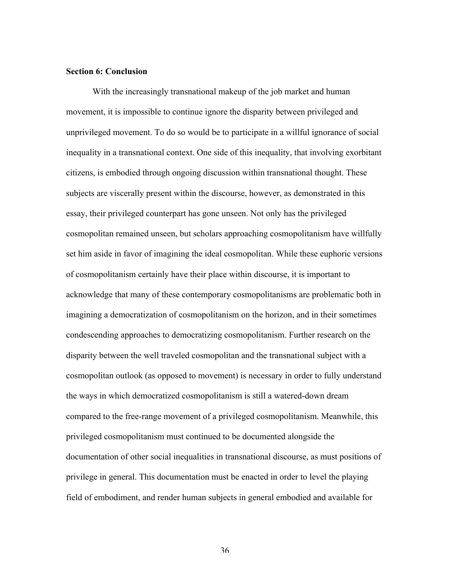#### **Section 6: Conclusion**

With the increasingly transnational makeup of the job market and human movement, it is impossible to continue ignore the disparity between privileged and unprivileged movement. To do so would be to participate in a willful ignorance of social inequality in a transnational context. One side of this inequality, that involving exorbitant citizens, is embodied through ongoing discussion within transnational thought. These subjects are viscerally present within the discourse, however, as demonstrated in this essay, their privileged counterpart has gone unseen. Not only has the privileged cosmopolitan remained unseen, but scholars approaching cosmopolitanism have willfully set him aside in favor of imagining the ideal cosmopolitan. While these euphoric versions of cosmopolitanism certainly have their place within discourse, it is important to acknowledge that many of these contemporary cosmopolitanisms are problematic both in imagining a democratization of cosmopolitanism on the horizon, and in their sometimes condescending approaches to democratizing cosmopolitanism. Further research on the disparity between the well traveled cosmopolitan and the transnational subject with a cosmopolitan outlook (as opposed to movement) is necessary in order to fully understand the ways in which democratized cosmopolitanism is still a watered-down dream compared to the free-range movement of a privileged cosmopolitanism. Meanwhile, this privileged cosmopolitanism must continued to be documented alongside the documentation of other social inequalities in transnational discourse, as must positions of privilege in general. This documentation must be enacted in order to level the playing field of embodiment, and render human subjects in general embodied and available for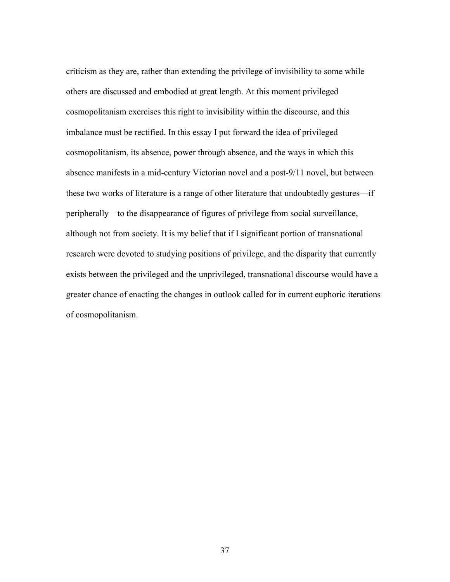criticism as they are, rather than extending the privilege of invisibility to some while others are discussed and embodied at great length. At this moment privileged cosmopolitanism exercises this right to invisibility within the discourse, and this imbalance must be rectified. In this essay I put forward the idea of privileged cosmopolitanism, its absence, power through absence, and the ways in which this absence manifests in a mid-century Victorian novel and a post-9/11 novel, but between these two works of literature is a range of other literature that undoubtedly gestures—if peripherally—to the disappearance of figures of privilege from social surveillance, although not from society. It is my belief that if I significant portion of transnational research were devoted to studying positions of privilege, and the disparity that currently exists between the privileged and the unprivileged, transnational discourse would have a greater chance of enacting the changes in outlook called for in current euphoric iterations of cosmopolitanism.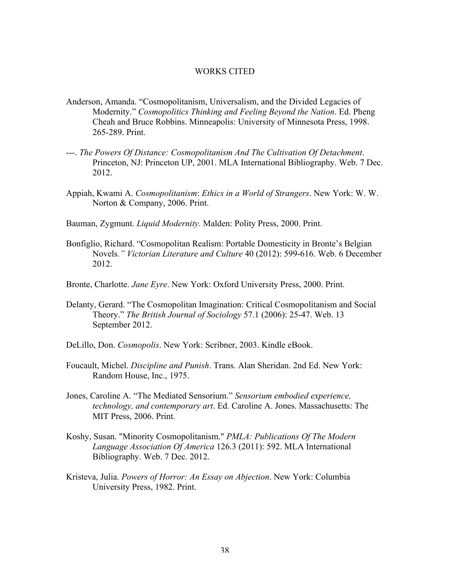#### WORKS CITED

- Anderson, Amanda. "Cosmopolitanism, Universalism, and the Divided Legacies of Modernity." *Cosmopolitics Thinking and Feeling Beyond the Nation*. Ed. Pheng Cheah and Bruce Robbins. Minneapolis: University of Minnesota Press, 1998. 265-289. Print.
- ---. *The Powers Of Distance: Cosmopolitanism And The Cultivation Of Detachment*. Princeton, NJ: Princeton UP, 2001. MLA International Bibliography. Web. 7 Dec. 2012.
- Appiah, Kwami A. *Cosmopolitanism*: *Ethics in a World of Strangers*. New York: W. W. Norton & Company, 2006. Print.
- Bauman, Zygmunt. *Liquid Modernity*. Malden: Polity Press, 2000. Print.
- Bonfiglio, Richard. "Cosmopolitan Realism: Portable Domesticity in Bronte's Belgian Novels*." Victorian Literature and Culture* 40 (2012): 599-616. Web. 6 December 2012.
- Bronte, Charlotte. *Jane Eyre*. New York: Oxford University Press, 2000. Print.
- Delanty, Gerard. "The Cosmopolitan Imagination: Critical Cosmopolitanism and Social Theory." *The British Journal of Sociology* 57.1 (2006): 25-47. Web. 13 September 2012.
- DeLillo, Don. *Cosmopolis*. New York: Scribner, 2003. Kindle eBook.
- Foucault, Michel. *Discipline and Punish*. Trans. Alan Sheridan. 2nd Ed. New York: Random House, Inc., 1975.
- Jones, Caroline A. "The Mediated Sensorium." *Sensorium embodied experience, technology, and contemporary art*. Ed. Caroline A. Jones. Massachusetts: The MIT Press, 2006. Print.
- Koshy, Susan. "Minority Cosmopolitanism." *PMLA: Publications Of The Modern Language Association Of America* 126.3 (2011): 592. MLA International Bibliography. Web. 7 Dec. 2012.
- Kristeva, Julia. *Powers of Horror: An Essay on Abjection*. New York: Columbia University Press, 1982. Print.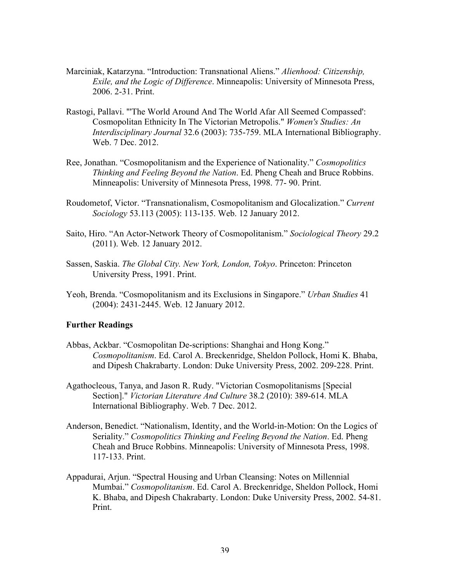- Marciniak, Katarzyna. "Introduction: Transnational Aliens." *Alienhood: Citizenship, Exile, and the Logic of Difference*. Minneapolis: University of Minnesota Press, 2006. 2-31. Print.
- Rastogi, Pallavi. "'The World Around And The World Afar All Seemed Compassed': Cosmopolitan Ethnicity In The Victorian Metropolis." *Women's Studies: An Interdisciplinary Journal* 32.6 (2003): 735-759. MLA International Bibliography. Web. 7 Dec. 2012.
- Ree, Jonathan. "Cosmopolitanism and the Experience of Nationality." *Cosmopolitics Thinking and Feeling Beyond the Nation*. Ed. Pheng Cheah and Bruce Robbins. Minneapolis: University of Minnesota Press, 1998. 77- 90. Print.
- Roudometof, Victor. "Transnationalism, Cosmopolitanism and Glocalization." *Current Sociology* 53.113 (2005): 113-135. Web. 12 January 2012.
- Saito, Hiro. "An Actor-Network Theory of Cosmopolitanism." *Sociological Theory* 29.2 (2011). Web. 12 January 2012.
- Sassen, Saskia. *The Global City. New York, London, Tokyo*. Princeton: Princeton University Press, 1991. Print.
- Yeoh, Brenda. "Cosmopolitanism and its Exclusions in Singapore." *Urban Studies* 41 (2004): 2431-2445. Web. 12 January 2012.

#### **Further Readings**

- Abbas, Ackbar. "Cosmopolitan De-scriptions: Shanghai and Hong Kong." *Cosmopolitanism*. Ed. Carol A. Breckenridge, Sheldon Pollock, Homi K. Bhaba, and Dipesh Chakrabarty. London: Duke University Press, 2002. 209-228. Print.
- Agathocleous, Tanya, and Jason R. Rudy. "Victorian Cosmopolitanisms [Special Section]." *Victorian Literature And Culture* 38.2 (2010): 389-614. MLA International Bibliography. Web. 7 Dec. 2012.
- Anderson, Benedict. "Nationalism, Identity, and the World-in-Motion: On the Logics of Seriality." *Cosmopolitics Thinking and Feeling Beyond the Nation*. Ed. Pheng Cheah and Bruce Robbins. Minneapolis: University of Minnesota Press, 1998. 117-133. Print.
- Appadurai, Arjun. "Spectral Housing and Urban Cleansing: Notes on Millennial Mumbai." *Cosmopolitanism*. Ed. Carol A. Breckenridge, Sheldon Pollock, Homi K. Bhaba, and Dipesh Chakrabarty. London: Duke University Press, 2002. 54-81. Print.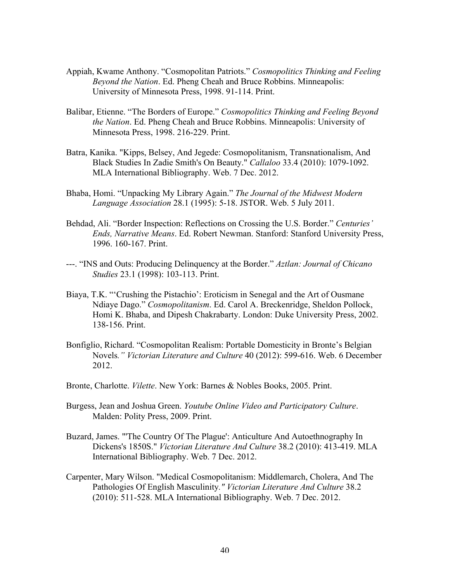- Appiah, Kwame Anthony. "Cosmopolitan Patriots." *Cosmopolitics Thinking and Feeling Beyond the Nation*. Ed. Pheng Cheah and Bruce Robbins. Minneapolis: University of Minnesota Press, 1998. 91-114. Print.
- Balibar, Etienne. "The Borders of Europe." *Cosmopolitics Thinking and Feeling Beyond the Nation*. Ed. Pheng Cheah and Bruce Robbins. Minneapolis: University of Minnesota Press, 1998. 216-229. Print.
- Batra, Kanika. "Kipps, Belsey, And Jegede: Cosmopolitanism, Transnationalism, And Black Studies In Zadie Smith's On Beauty." *Callaloo* 33.4 (2010): 1079-1092. MLA International Bibliography. Web. 7 Dec. 2012.
- Bhaba, Homi. "Unpacking My Library Again." *The Journal of the Midwest Modern Language Association* 28.1 (1995): 5-18. JSTOR. Web. 5 July 2011.
- Behdad, Ali. "Border Inspection: Reflections on Crossing the U.S. Border." *Centuries' Ends, Narrative Means*. Ed. Robert Newman. Stanford: Stanford University Press, 1996. 160-167. Print.
- ---. "INS and Outs: Producing Delinquency at the Border." *Aztlan: Journal of Chicano Studies* 23.1 (1998): 103-113. Print.
- Biaya, T.K. "'Crushing the Pistachio': Eroticism in Senegal and the Art of Ousmane Ndiaye Dago." *Cosmopolitanism*. Ed. Carol A. Breckenridge, Sheldon Pollock, Homi K. Bhaba, and Dipesh Chakrabarty. London: Duke University Press, 2002. 138-156. Print.
- Bonfiglio, Richard. "Cosmopolitan Realism: Portable Domesticity in Bronte's Belgian Novels*." Victorian Literature and Culture* 40 (2012): 599-616. Web. 6 December 2012.
- Bronte, Charlotte. *Vilette*. New York: Barnes & Nobles Books, 2005. Print.
- Burgess, Jean and Joshua Green. *Youtube Online Video and Participatory Culture*. Malden: Polity Press, 2009. Print.
- Buzard, James. "'The Country Of The Plague': Anticulture And Autoethnography In Dickens's 1850S." *Victorian Literature And Culture* 38.2 (2010): 413-419. MLA International Bibliography. Web. 7 Dec. 2012.
- Carpenter, Mary Wilson. "Medical Cosmopolitanism: Middlemarch, Cholera, And The Pathologies Of English Masculinity*." Victorian Literature And Culture* 38.2 (2010): 511-528. MLA International Bibliography. Web. 7 Dec. 2012.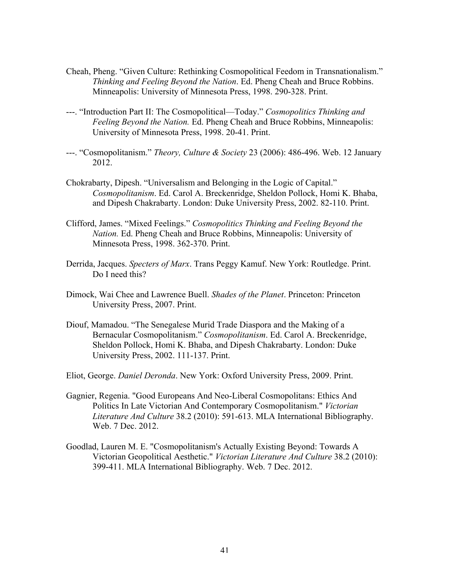- Cheah, Pheng. "Given Culture: Rethinking Cosmopolitical Feedom in Transnationalism." *Thinking and Feeling Beyond the Nation*. Ed. Pheng Cheah and Bruce Robbins. Minneapolis: University of Minnesota Press, 1998. 290-328. Print.
- ---. "Introduction Part II: The Cosmopolitical—Today." *Cosmopolitics Thinking and Feeling Beyond the Nation.* Ed. Pheng Cheah and Bruce Robbins, Minneapolis: University of Minnesota Press, 1998. 20-41. Print.
- ---. "Cosmopolitanism." *Theory, Culture & Society* 23 (2006): 486-496. Web. 12 January 2012.
- Chokrabarty, Dipesh. "Universalism and Belonging in the Logic of Capital." *Cosmopolitanism*. Ed. Carol A. Breckenridge, Sheldon Pollock, Homi K. Bhaba, and Dipesh Chakrabarty. London: Duke University Press, 2002. 82-110. Print.
- Clifford, James. "Mixed Feelings." *Cosmopolitics Thinking and Feeling Beyond the Nation.* Ed. Pheng Cheah and Bruce Robbins, Minneapolis: University of Minnesota Press, 1998. 362-370. Print.
- Derrida, Jacques. *Specters of Marx*. Trans Peggy Kamuf. New York: Routledge. Print. Do I need this?
- Dimock, Wai Chee and Lawrence Buell. *Shades of the Planet*. Princeton: Princeton University Press, 2007. Print.
- Diouf, Mamadou. "The Senegalese Murid Trade Diaspora and the Making of a Bernacular Cosmopolitanism." *Cosmopolitanism*. Ed. Carol A. Breckenridge, Sheldon Pollock, Homi K. Bhaba, and Dipesh Chakrabarty. London: Duke University Press, 2002. 111-137. Print.
- Eliot, George. *Daniel Deronda*. New York: Oxford University Press, 2009. Print.
- Gagnier, Regenia. "Good Europeans And Neo-Liberal Cosmopolitans: Ethics And Politics In Late Victorian And Contemporary Cosmopolitanism." *Victorian Literature And Culture* 38.2 (2010): 591-613. MLA International Bibliography. Web. 7 Dec. 2012.
- Goodlad, Lauren M. E. "Cosmopolitanism's Actually Existing Beyond: Towards A Victorian Geopolitical Aesthetic." *Victorian Literature And Culture* 38.2 (2010): 399-411. MLA International Bibliography. Web. 7 Dec. 2012.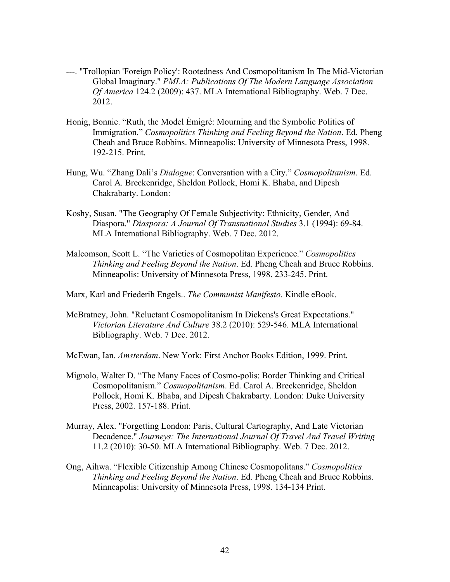- ---. "Trollopian 'Foreign Policy': Rootedness And Cosmopolitanism In The Mid-Victorian Global Imaginary." *PMLA: Publications Of The Modern Language Association Of America* 124.2 (2009): 437. MLA International Bibliography. Web. 7 Dec. 2012.
- Honig, Bonnie. "Ruth, the Model Émigré: Mourning and the Symbolic Politics of Immigration." *Cosmopolitics Thinking and Feeling Beyond the Nation*. Ed. Pheng Cheah and Bruce Robbins. Minneapolis: University of Minnesota Press, 1998. 192-215. Print.
- Hung, Wu. "Zhang Dali's *Dialogue*: Conversation with a City." *Cosmopolitanism*. Ed. Carol A. Breckenridge, Sheldon Pollock, Homi K. Bhaba, and Dipesh Chakrabarty. London:
- Koshy, Susan. "The Geography Of Female Subjectivity: Ethnicity, Gender, And Diaspora." *Diaspora: A Journal Of Transnational Studies* 3.1 (1994): 69-84. MLA International Bibliography. Web. 7 Dec. 2012.
- Malcomson, Scott L. "The Varieties of Cosmopolitan Experience." *Cosmopolitics Thinking and Feeling Beyond the Nation*. Ed. Pheng Cheah and Bruce Robbins. Minneapolis: University of Minnesota Press, 1998. 233-245. Print.
- Marx, Karl and Friederih Engels.. *The Communist Manifesto*. Kindle eBook.
- McBratney, John. "Reluctant Cosmopolitanism In Dickens's Great Expectations." *Victorian Literature And Culture* 38.2 (2010): 529-546. MLA International Bibliography. Web. 7 Dec. 2012.
- McEwan, Ian. *Amsterdam*. New York: First Anchor Books Edition, 1999. Print.
- Mignolo, Walter D. "The Many Faces of Cosmo-polis: Border Thinking and Critical Cosmopolitanism." *Cosmopolitanism*. Ed. Carol A. Breckenridge, Sheldon Pollock, Homi K. Bhaba, and Dipesh Chakrabarty. London: Duke University Press, 2002. 157-188. Print.
- Murray, Alex. "Forgetting London: Paris, Cultural Cartography, And Late Victorian Decadence." *Journeys: The International Journal Of Travel And Travel Writing*  11.2 (2010): 30-50. MLA International Bibliography. Web. 7 Dec. 2012.
- Ong, Aihwa. "Flexible Citizenship Among Chinese Cosmopolitans." *Cosmopolitics Thinking and Feeling Beyond the Nation*. Ed. Pheng Cheah and Bruce Robbins. Minneapolis: University of Minnesota Press, 1998. 134-134 Print.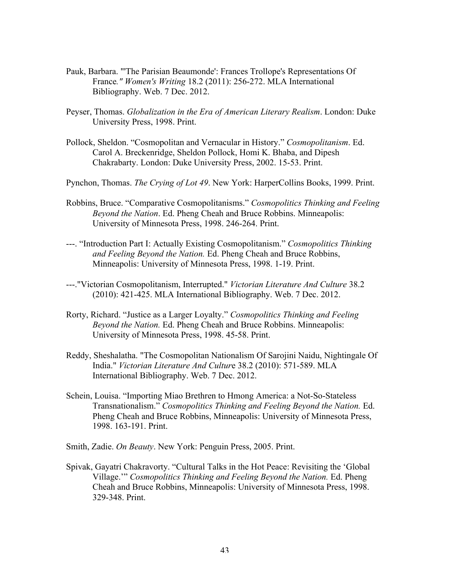- Pauk, Barbara. "'The Parisian Beaumonde': Frances Trollope's Representations Of France*." Women's Writing* 18.2 (2011): 256-272. MLA International Bibliography. Web. 7 Dec. 2012.
- Peyser, Thomas. *Globalization in the Era of American Literary Realism*. London: Duke University Press, 1998. Print.
- Pollock, Sheldon. "Cosmopolitan and Vernacular in History." *Cosmopolitanism*. Ed. Carol A. Breckenridge, Sheldon Pollock, Homi K. Bhaba, and Dipesh Chakrabarty. London: Duke University Press, 2002. 15-53. Print.
- Pynchon, Thomas. *The Crying of Lot 49*. New York: HarperCollins Books, 1999. Print.
- Robbins, Bruce. "Comparative Cosmopolitanisms." *Cosmopolitics Thinking and Feeling Beyond the Nation*. Ed. Pheng Cheah and Bruce Robbins. Minneapolis: University of Minnesota Press, 1998. 246-264. Print.
- ---. "Introduction Part I: Actually Existing Cosmopolitanism." *Cosmopolitics Thinking and Feeling Beyond the Nation.* Ed. Pheng Cheah and Bruce Robbins, Minneapolis: University of Minnesota Press, 1998. 1-19. Print.
- ---."Victorian Cosmopolitanism, Interrupted." *Victorian Literature And Culture* 38.2 (2010): 421-425. MLA International Bibliography. Web. 7 Dec. 2012.
- Rorty, Richard. "Justice as a Larger Loyalty." *Cosmopolitics Thinking and Feeling Beyond the Nation.* Ed. Pheng Cheah and Bruce Robbins. Minneapolis: University of Minnesota Press, 1998. 45-58. Print.
- Reddy, Sheshalatha. "The Cosmopolitan Nationalism Of Sarojini Naidu, Nightingale Of India." *Victorian Literature And Cultur*e 38.2 (2010): 571-589. MLA International Bibliography. Web. 7 Dec. 2012.
- Schein, Louisa. "Importing Miao Brethren to Hmong America: a Not-So-Stateless Transnationalism." *Cosmopolitics Thinking and Feeling Beyond the Nation.* Ed. Pheng Cheah and Bruce Robbins, Minneapolis: University of Minnesota Press, 1998. 163-191. Print.
- Smith, Zadie. *On Beauty*. New York: Penguin Press, 2005. Print.
- Spivak, Gayatri Chakravorty. "Cultural Talks in the Hot Peace: Revisiting the 'Global Village.'" *Cosmopolitics Thinking and Feeling Beyond the Nation.* Ed. Pheng Cheah and Bruce Robbins, Minneapolis: University of Minnesota Press, 1998. 329-348. Print.